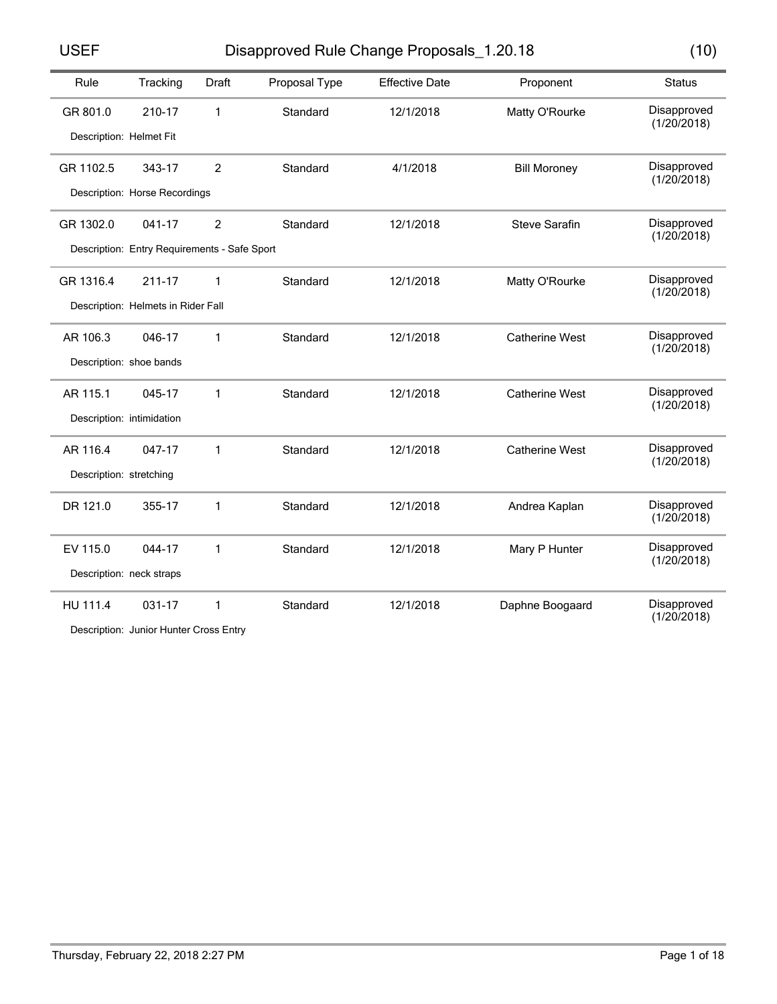USEF Disapproved Rule Change Proposals\_1.20.18 (10)

|  | ×<br>۰. |
|--|---------|

| Rule                    | Tracking                                     | <b>Draft</b>   | Proposal Type | <b>Effective Date</b> | Proponent             | <b>Status</b>              |
|-------------------------|----------------------------------------------|----------------|---------------|-----------------------|-----------------------|----------------------------|
| GR 801.0                | 210-17                                       | 1              | Standard      | 12/1/2018             | Matty O'Rourke        | Disapproved<br>(1/20/2018) |
| Description: Helmet Fit |                                              |                |               |                       |                       |                            |
| GR 1102.5               | 343-17                                       | $\overline{2}$ | Standard      | 4/1/2018              | <b>Bill Moroney</b>   | Disapproved<br>(1/20/2018) |
|                         | Description: Horse Recordings                |                |               |                       |                       |                            |
| GR 1302.0               | 041-17                                       | $\overline{2}$ | Standard      | 12/1/2018             | <b>Steve Sarafin</b>  | Disapproved<br>(1/20/2018) |
|                         | Description: Entry Requirements - Safe Sport |                |               |                       |                       |                            |
| GR 1316.4               | $211 - 17$                                   | $\mathbf{1}$   | Standard      | 12/1/2018             | Matty O'Rourke        | Disapproved<br>(1/20/2018) |
|                         | Description: Helmets in Rider Fall           |                |               |                       |                       |                            |
| AR 106.3                | 046-17                                       | 1              | Standard      | 12/1/2018             | <b>Catherine West</b> | Disapproved<br>(1/20/2018) |
|                         | Description: shoe bands                      |                |               |                       |                       |                            |
| AR 115.1                | 045-17                                       | 1              | Standard      | 12/1/2018             | <b>Catherine West</b> | Disapproved<br>(1/20/2018) |
|                         | Description: intimidation                    |                |               |                       |                       |                            |
| AR 116.4                | 047-17                                       | 1              | Standard      | 12/1/2018             | <b>Catherine West</b> | Disapproved<br>(1/20/2018) |
| Description: stretching |                                              |                |               |                       |                       |                            |
| DR 121.0                | 355-17                                       | $\mathbf{1}$   | Standard      | 12/1/2018             | Andrea Kaplan         | Disapproved<br>(1/20/2018) |
| EV 115.0                | 044-17                                       | 1              | Standard      | 12/1/2018             | Mary P Hunter         | Disapproved                |
|                         | Description: neck straps                     |                |               |                       |                       | (1/20/2018)                |
| HU 111.4                | 031-17                                       | 1              | Standard      | 12/1/2018             | Daphne Boogaard       | Disapproved<br>(1/20/2018) |

Description: Junior Hunter Cross Entry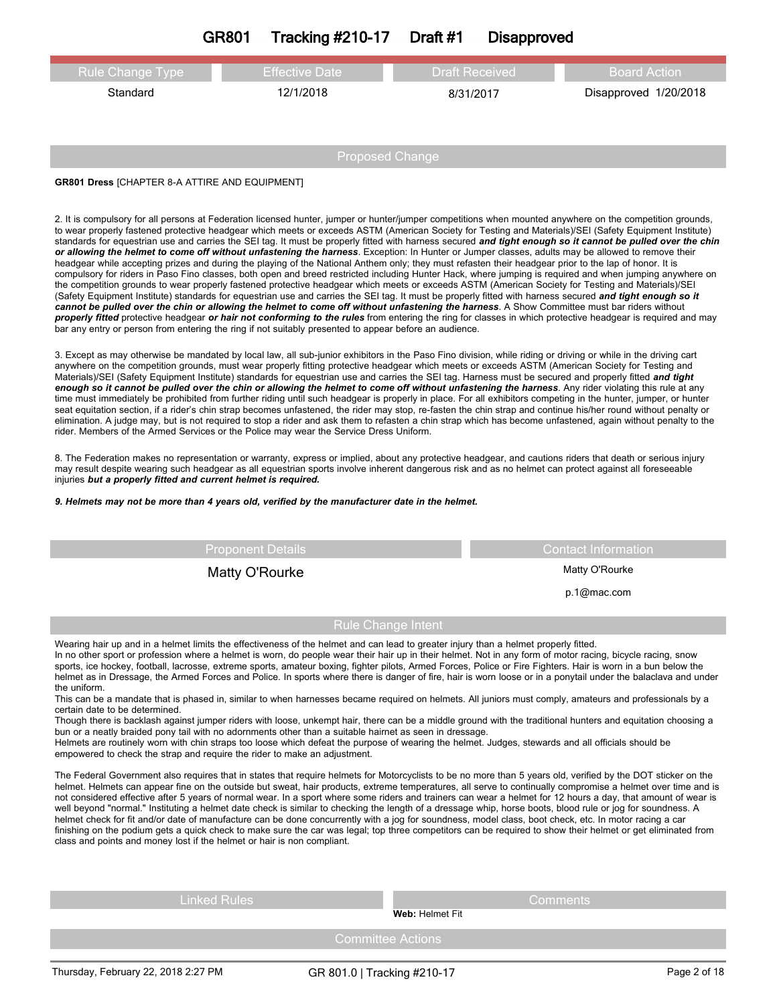# **GR801 Tracking #210-17 Draft #1 Disapproved**

| <b>Rule Change Type</b>                               | <b>Effective Date</b> | <b>Draft Received</b> | <b>Board Action</b>   |  |
|-------------------------------------------------------|-----------------------|-----------------------|-----------------------|--|
| Standard                                              | 12/1/2018             | 8/31/2017             | Disapproved 1/20/2018 |  |
|                                                       |                       |                       |                       |  |
|                                                       |                       |                       |                       |  |
| Proposed Change                                       |                       |                       |                       |  |
| <b>GR801 Dress [CHAPTER 8-A ATTIRE AND EQUIPMENT]</b> |                       |                       |                       |  |

2. It is compulsory for all persons at Federation licensed hunter, jumper or hunter/jumper competitions when mounted anywhere on the competition grounds, to wear properly fastened protective headgear which meets or exceeds ASTM (American Society for Testing and Materials)/SEI (Safety Equipment Institute) standards for equestrian use and carries the SEI tag. It must be properly fitted with harness secured and tight enough so it cannot be pulled over the chin *or allowing the helmet to come off without unfastening the harness*. Exception: In Hunter or Jumper classes, adults may be allowed to remove their headgear while accepting prizes and during the playing of the National Anthem only; they must refasten their headgear prior to the lap of honor. It is compulsory for riders in Paso Fino classes, both open and breed restricted including Hunter Hack, where jumping is required and when jumping anywhere on the competition grounds to wear properly fastened protective headgear which meets or exceeds ASTM (American Society for Testing and Materials)/SEI (Safety Equipment Institute) standards for equestrian use and carries the SEI tag. It must be properly fitted with harness secured *and tight enough so it* cannot be pulled over the chin or allowing the helmet to come off without unfastening the harness. A Show Committee must bar riders without *properly fitted* protective headgear *or hair not conforming to the rules* from entering the ring for classes in which protective headgear is required and may bar any entry or person from entering the ring if not suitably presented to appear before an audience.

3. Except as may otherwise be mandated by local law, all sub-junior exhibitors in the Paso Fino division, while riding or driving or while in the driving cart anywhere on the competition grounds, must wear properly fitting protective headgear which meets or exceeds ASTM (American Society for Testing and Materials)/SEI (Safety Equipment Institute) standards for equestrian use and carries the SEI tag. Harness must be secured and properly fitted *and tight* enough so it cannot be pulled over the chin or allowing the helmet to come off without unfastening the harness. Any rider violating this rule at any time must immediately be prohibited from further riding until such headgear is properly in place. For all exhibitors competing in the hunter, jumper, or hunter seat equitation section, if a rider's chin strap becomes unfastened, the rider may stop, re-fasten the chin strap and continue his/her round without penalty or elimination. A judge may, but is not required to stop a rider and ask them to refasten a chin strap which has become unfastened, again without penalty to the rider. Members of the Armed Services or the Police may wear the Service Dress Uniform.

8. The Federation makes no representation or warranty, express or implied, about any protective headgear, and cautions riders that death or serious injury may result despite wearing such headgear as all equestrian sports involve inherent dangerous risk and as no helmet can protect against all foreseeable injuries *but a properly fitted and current helmet is required.* 

*9. Helmets may not be more than 4 years old, verified by the manufacturer date in the helmet.*

Proponent Details Contact Information

Matty O'Rourke Matty O'Rourke Matty O'Rourke

p.1@mac.com

## Rule Change Intent

Wearing hair up and in a helmet limits the effectiveness of the helmet and can lead to greater injury than a helmet properly fitted.

In no other sport or profession where a helmet is worn, do people wear their hair up in their helmet. Not in any form of motor racing, bicycle racing, snow sports, ice hockey, football, lacrosse, extreme sports, amateur boxing, fighter pilots, Armed Forces, Police or Fire Fighters. Hair is worn in a bun below the helmet as in Dressage, the Armed Forces and Police. In sports where there is danger of fire, hair is worn loose or in a ponytail under the balaclava and under the uniform.

This can be a mandate that is phased in, similar to when harnesses became required on helmets. All juniors must comply, amateurs and professionals by a certain date to be determined.

Though there is backlash against jumper riders with loose, unkempt hair, there can be a middle ground with the traditional hunters and equitation choosing a bun or a neatly braided pony tail with no adornments other than a suitable hairnet as seen in dressage.

Helmets are routinely worn with chin straps too loose which defeat the purpose of wearing the helmet. Judges, stewards and all officials should be empowered to check the strap and require the rider to make an adjustment.

The Federal Government also requires that in states that require helmets for Motorcyclists to be no more than 5 years old, verified by the DOT sticker on the helmet. Helmets can appear fine on the outside but sweat, hair products, extreme temperatures, all serve to continually compromise a helmet over time and is not considered effective after 5 years of normal wear. In a sport where some riders and trainers can wear a helmet for 12 hours a day, that amount of wear is well beyond "normal." Instituting a helmet date check is similar to checking the length of a dressage whip, horse boots, blood rule or jog for soundness. A helmet check for fit and/or date of manufacture can be done concurrently with a jog for soundness, model class, boot check, etc. In motor racing a car finishing on the podium gets a quick check to make sure the car was legal; top three competitors can be required to show their helmet or get eliminated from class and points and money lost if the helmet or hair is non compliant.

Linked Rules Comments

**Web:** Helmet Fit

Committee Actions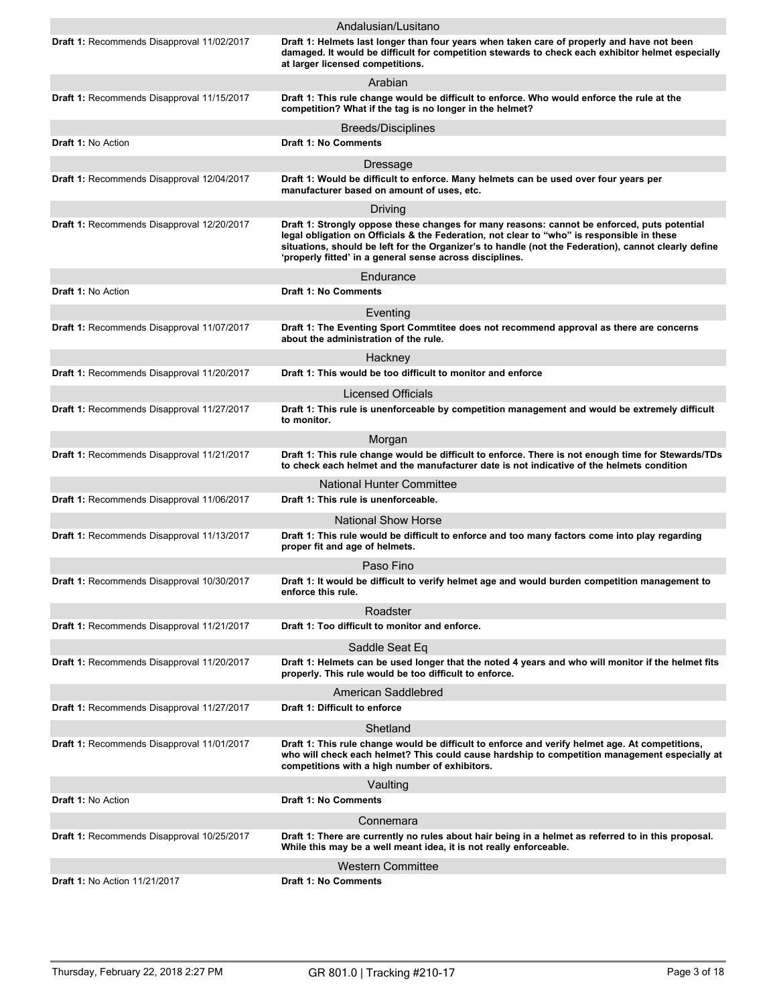|                                            | Andalusian/Lusitano                                                                                                                                                                                                                                                                                                                                           |
|--------------------------------------------|---------------------------------------------------------------------------------------------------------------------------------------------------------------------------------------------------------------------------------------------------------------------------------------------------------------------------------------------------------------|
| Draft 1: Recommends Disapproval 11/02/2017 | Draft 1: Helmets last longer than four years when taken care of properly and have not been<br>damaged. It would be difficult for competition stewards to check each exhibitor helmet especially<br>at larger licensed competitions.                                                                                                                           |
|                                            | Arabian                                                                                                                                                                                                                                                                                                                                                       |
| Draft 1: Recommends Disapproval 11/15/2017 | Draft 1: This rule change would be difficult to enforce. Who would enforce the rule at the<br>competition? What if the tag is no longer in the helmet?                                                                                                                                                                                                        |
|                                            | Breeds/Disciplines                                                                                                                                                                                                                                                                                                                                            |
| <b>Draft 1: No Action</b>                  | <b>Draft 1: No Comments</b>                                                                                                                                                                                                                                                                                                                                   |
|                                            | Dressage                                                                                                                                                                                                                                                                                                                                                      |
| Draft 1: Recommends Disapproval 12/04/2017 | Draft 1: Would be difficult to enforce. Many helmets can be used over four years per<br>manufacturer based on amount of uses, etc.                                                                                                                                                                                                                            |
|                                            | Driving                                                                                                                                                                                                                                                                                                                                                       |
| Draft 1: Recommends Disapproval 12/20/2017 | Draft 1: Strongly oppose these changes for many reasons: cannot be enforced, puts potential<br>legal obligation on Officials & the Federation, not clear to "who" is responsible in these<br>situations, should be left for the Organizer's to handle (not the Federation), cannot clearly define<br>'properly fitted' in a general sense across disciplines. |
|                                            | Endurance                                                                                                                                                                                                                                                                                                                                                     |
| Draft 1: No Action                         | <b>Draft 1: No Comments</b>                                                                                                                                                                                                                                                                                                                                   |
|                                            | Eventing                                                                                                                                                                                                                                                                                                                                                      |
| Draft 1: Recommends Disapproval 11/07/2017 | Draft 1: The Eventing Sport Commtitee does not recommend approval as there are concerns<br>about the administration of the rule.                                                                                                                                                                                                                              |
|                                            | Hackney                                                                                                                                                                                                                                                                                                                                                       |
| Draft 1: Recommends Disapproval 11/20/2017 | Draft 1: This would be too difficult to monitor and enforce                                                                                                                                                                                                                                                                                                   |
|                                            | Licensed Officials                                                                                                                                                                                                                                                                                                                                            |
| Draft 1: Recommends Disapproval 11/27/2017 | Draft 1: This rule is unenforceable by competition management and would be extremely difficult<br>to monitor.                                                                                                                                                                                                                                                 |
|                                            | Morgan                                                                                                                                                                                                                                                                                                                                                        |
| Draft 1: Recommends Disapproval 11/21/2017 | Draft 1: This rule change would be difficult to enforce. There is not enough time for Stewards/TDs<br>to check each helmet and the manufacturer date is not indicative of the helmets condition                                                                                                                                                               |
|                                            | <b>National Hunter Committee</b>                                                                                                                                                                                                                                                                                                                              |
| Draft 1: Recommends Disapproval 11/06/2017 | Draft 1: This rule is unenforceable.                                                                                                                                                                                                                                                                                                                          |
|                                            | <b>National Show Horse</b>                                                                                                                                                                                                                                                                                                                                    |
| Draft 1: Recommends Disapproval 11/13/2017 | Draft 1: This rule would be difficult to enforce and too many factors come into play regarding<br>proper fit and age of helmets.                                                                                                                                                                                                                              |
|                                            | Paso Fino                                                                                                                                                                                                                                                                                                                                                     |
| Draft 1: Recommends Disapproval 10/30/2017 | Draft 1: It would be difficult to verify helmet age and would burden competition management to<br>entorce this rule.                                                                                                                                                                                                                                          |
|                                            | Roadster                                                                                                                                                                                                                                                                                                                                                      |
| Draft 1: Recommends Disapproval 11/21/2017 | Draft 1: Too difficult to monitor and enforce.                                                                                                                                                                                                                                                                                                                |
|                                            | Saddle Seat Eq                                                                                                                                                                                                                                                                                                                                                |
| Draft 1: Recommends Disapproval 11/20/2017 | Draft 1: Helmets can be used longer that the noted 4 years and who will monitor if the helmet fits<br>properly. This rule would be too difficult to enforce.                                                                                                                                                                                                  |
|                                            | American Saddlebred                                                                                                                                                                                                                                                                                                                                           |
| Draft 1: Recommends Disapproval 11/27/2017 | Draft 1: Difficult to enforce                                                                                                                                                                                                                                                                                                                                 |
|                                            | Shetland                                                                                                                                                                                                                                                                                                                                                      |
| Draft 1: Recommends Disapproval 11/01/2017 | Draft 1: This rule change would be difficult to enforce and verify helmet age. At competitions,<br>who will check each helmet? This could cause hardship to competition management especially at<br>competitions with a high number of exhibitors.                                                                                                            |
|                                            | Vaulting                                                                                                                                                                                                                                                                                                                                                      |
| <b>Draft 1: No Action</b>                  | <b>Draft 1: No Comments</b>                                                                                                                                                                                                                                                                                                                                   |
|                                            | Connemara                                                                                                                                                                                                                                                                                                                                                     |
| Draft 1: Recommends Disapproval 10/25/2017 | Draft 1: There are currently no rules about hair being in a helmet as referred to in this proposal.<br>While this may be a well meant idea, it is not really enforceable.                                                                                                                                                                                     |
|                                            | <b>Western Committee</b>                                                                                                                                                                                                                                                                                                                                      |
| <b>Draft 1: No Action 11/21/2017</b>       | <b>Draft 1: No Comments</b>                                                                                                                                                                                                                                                                                                                                   |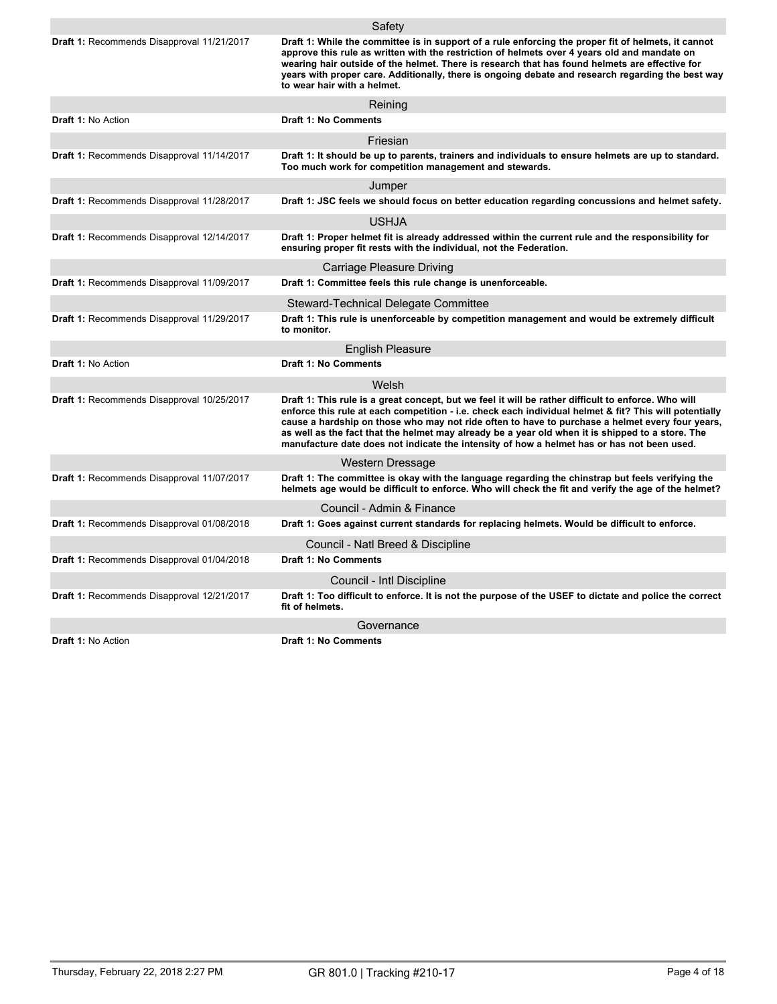|                                                   | Safety                                                                                                                                                                                                                                                                                                                                                                                                                                                                                                             |
|---------------------------------------------------|--------------------------------------------------------------------------------------------------------------------------------------------------------------------------------------------------------------------------------------------------------------------------------------------------------------------------------------------------------------------------------------------------------------------------------------------------------------------------------------------------------------------|
| <b>Draft 1: Recommends Disapproval 11/21/2017</b> | Draft 1: While the committee is in support of a rule enforcing the proper fit of helmets, it cannot<br>approve this rule as written with the restriction of helmets over 4 years old and mandate on<br>wearing hair outside of the helmet. There is research that has found helmets are effective for<br>years with proper care. Additionally, there is ongoing debate and research regarding the best way<br>to wear hair with a helmet.                                                                          |
|                                                   | Reining                                                                                                                                                                                                                                                                                                                                                                                                                                                                                                            |
| <b>Draft 1: No Action</b>                         | <b>Draft 1: No Comments</b>                                                                                                                                                                                                                                                                                                                                                                                                                                                                                        |
|                                                   | Friesian                                                                                                                                                                                                                                                                                                                                                                                                                                                                                                           |
| Draft 1: Recommends Disapproval 11/14/2017        | Draft 1: It should be up to parents, trainers and individuals to ensure helmets are up to standard.<br>Too much work for competition management and stewards.                                                                                                                                                                                                                                                                                                                                                      |
|                                                   | Jumper                                                                                                                                                                                                                                                                                                                                                                                                                                                                                                             |
| Draft 1: Recommends Disapproval 11/28/2017        | Draft 1: JSC feels we should focus on better education regarding concussions and helmet safety.                                                                                                                                                                                                                                                                                                                                                                                                                    |
|                                                   | <b>USHJA</b>                                                                                                                                                                                                                                                                                                                                                                                                                                                                                                       |
| Draft 1: Recommends Disapproval 12/14/2017        | Draft 1: Proper helmet fit is already addressed within the current rule and the responsibility for<br>ensuring proper fit rests with the individual, not the Federation.                                                                                                                                                                                                                                                                                                                                           |
|                                                   | Carriage Pleasure Driving                                                                                                                                                                                                                                                                                                                                                                                                                                                                                          |
| Draft 1: Recommends Disapproval 11/09/2017        | Draft 1: Committee feels this rule change is unenforceable.                                                                                                                                                                                                                                                                                                                                                                                                                                                        |
|                                                   | Steward-Technical Delegate Committee                                                                                                                                                                                                                                                                                                                                                                                                                                                                               |
| Draft 1: Recommends Disapproval 11/29/2017        | Draft 1: This rule is unenforceable by competition management and would be extremely difficult<br>to monitor.                                                                                                                                                                                                                                                                                                                                                                                                      |
|                                                   | <b>English Pleasure</b>                                                                                                                                                                                                                                                                                                                                                                                                                                                                                            |
| <b>Draft 1: No Action</b>                         | <b>Draft 1: No Comments</b>                                                                                                                                                                                                                                                                                                                                                                                                                                                                                        |
|                                                   | Welsh                                                                                                                                                                                                                                                                                                                                                                                                                                                                                                              |
| Draft 1: Recommends Disapproval 10/25/2017        | Draft 1: This rule is a great concept, but we feel it will be rather difficult to enforce. Who will<br>enforce this rule at each competition - i.e. check each individual helmet & fit? This will potentially<br>cause a hardship on those who may not ride often to have to purchase a helmet every four years,<br>as well as the fact that the helmet may already be a year old when it is shipped to a store. The<br>manufacture date does not indicate the intensity of how a helmet has or has not been used. |
|                                                   | Western Dressage                                                                                                                                                                                                                                                                                                                                                                                                                                                                                                   |
| Draft 1: Recommends Disapproval 11/07/2017        | Draft 1: The committee is okay with the language regarding the chinstrap but feels verifying the<br>helmets age would be difficult to enforce. Who will check the fit and verify the age of the helmet?                                                                                                                                                                                                                                                                                                            |
|                                                   | Council - Admin & Finance                                                                                                                                                                                                                                                                                                                                                                                                                                                                                          |
| Draft 1: Recommends Disapproval 01/08/2018        | Draft 1: Goes against current standards for replacing helmets. Would be difficult to enforce.                                                                                                                                                                                                                                                                                                                                                                                                                      |
|                                                   | Council - Natl Breed & Discipline                                                                                                                                                                                                                                                                                                                                                                                                                                                                                  |
| Draft 1: Recommends Disapproval 01/04/2018        | <b>Draft 1: No Comments</b>                                                                                                                                                                                                                                                                                                                                                                                                                                                                                        |
|                                                   | Council - Intl Discipline                                                                                                                                                                                                                                                                                                                                                                                                                                                                                          |
| Draft 1: Recommends Disapproval 12/21/2017        | Draft 1: Too difficult to enforce. It is not the purpose of the USEF to dictate and police the correct<br>fit of helmets.                                                                                                                                                                                                                                                                                                                                                                                          |
|                                                   | Governance                                                                                                                                                                                                                                                                                                                                                                                                                                                                                                         |
| Draft 1: No Action                                | <b>Draft 1: No Comments</b>                                                                                                                                                                                                                                                                                                                                                                                                                                                                                        |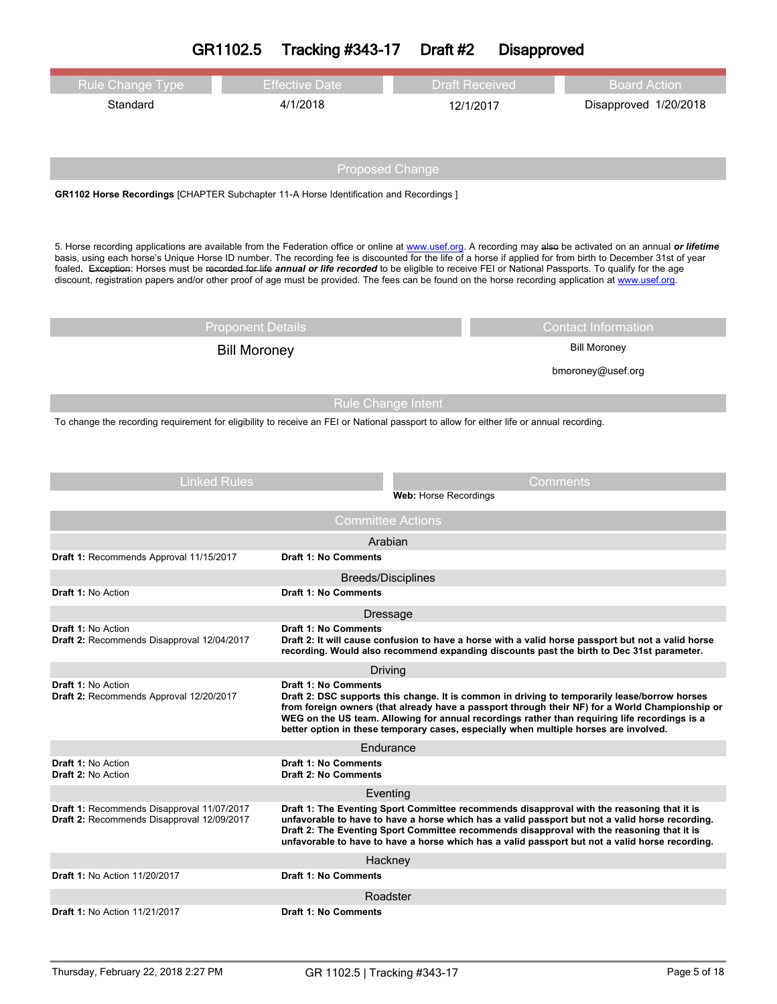|  | GR1102.5 | <b>Tracking #343-17</b> | Draft #2 | <b>Disapproved</b> |
|--|----------|-------------------------|----------|--------------------|
|--|----------|-------------------------|----------|--------------------|

| <b>Rule Change Type</b>                                                                                                                                                                                                                                                                                                                                                                                                                                                                                                                                                                                                                          | <b>Effective Date</b>                                                                 | <b>Draft Received</b>                                                                                                                                                                                                                                                                                                                                                                          | <b>Board Action</b>   |  |
|--------------------------------------------------------------------------------------------------------------------------------------------------------------------------------------------------------------------------------------------------------------------------------------------------------------------------------------------------------------------------------------------------------------------------------------------------------------------------------------------------------------------------------------------------------------------------------------------------------------------------------------------------|---------------------------------------------------------------------------------------|------------------------------------------------------------------------------------------------------------------------------------------------------------------------------------------------------------------------------------------------------------------------------------------------------------------------------------------------------------------------------------------------|-----------------------|--|
| Standard                                                                                                                                                                                                                                                                                                                                                                                                                                                                                                                                                                                                                                         | 4/1/2018                                                                              |                                                                                                                                                                                                                                                                                                                                                                                                |                       |  |
|                                                                                                                                                                                                                                                                                                                                                                                                                                                                                                                                                                                                                                                  |                                                                                       | 12/1/2017                                                                                                                                                                                                                                                                                                                                                                                      | Disapproved 1/20/2018 |  |
|                                                                                                                                                                                                                                                                                                                                                                                                                                                                                                                                                                                                                                                  |                                                                                       |                                                                                                                                                                                                                                                                                                                                                                                                |                       |  |
|                                                                                                                                                                                                                                                                                                                                                                                                                                                                                                                                                                                                                                                  |                                                                                       |                                                                                                                                                                                                                                                                                                                                                                                                |                       |  |
|                                                                                                                                                                                                                                                                                                                                                                                                                                                                                                                                                                                                                                                  |                                                                                       | <b>Proposed Change</b>                                                                                                                                                                                                                                                                                                                                                                         |                       |  |
|                                                                                                                                                                                                                                                                                                                                                                                                                                                                                                                                                                                                                                                  | GR1102 Horse Recordings [CHAPTER Subchapter 11-A Horse Identification and Recordings] |                                                                                                                                                                                                                                                                                                                                                                                                |                       |  |
|                                                                                                                                                                                                                                                                                                                                                                                                                                                                                                                                                                                                                                                  |                                                                                       |                                                                                                                                                                                                                                                                                                                                                                                                |                       |  |
|                                                                                                                                                                                                                                                                                                                                                                                                                                                                                                                                                                                                                                                  |                                                                                       |                                                                                                                                                                                                                                                                                                                                                                                                |                       |  |
| 5. Horse recording applications are available from the Federation office or online at www.usef.org. A recording may alse be activated on an annual or lifetime<br>basis, using each horse's Unique Horse ID number. The recording fee is discounted for the life of a horse if applied for from birth to December 31st of year<br>foaled. Exception: Horses must be recorded for life annual or life recorded to be eligible to receive FEI or National Passports. To qualify for the age<br>discount, registration papers and/or other proof of age must be provided. The fees can be found on the horse recording application at www.usef.org. |                                                                                       |                                                                                                                                                                                                                                                                                                                                                                                                |                       |  |
|                                                                                                                                                                                                                                                                                                                                                                                                                                                                                                                                                                                                                                                  |                                                                                       |                                                                                                                                                                                                                                                                                                                                                                                                |                       |  |
| <b>Proponent Details</b><br><b>Contact Information</b>                                                                                                                                                                                                                                                                                                                                                                                                                                                                                                                                                                                           |                                                                                       |                                                                                                                                                                                                                                                                                                                                                                                                | <b>Bill Moroney</b>   |  |
|                                                                                                                                                                                                                                                                                                                                                                                                                                                                                                                                                                                                                                                  | <b>Bill Moroney</b>                                                                   |                                                                                                                                                                                                                                                                                                                                                                                                |                       |  |
|                                                                                                                                                                                                                                                                                                                                                                                                                                                                                                                                                                                                                                                  |                                                                                       |                                                                                                                                                                                                                                                                                                                                                                                                | bmoroney@usef.org     |  |
|                                                                                                                                                                                                                                                                                                                                                                                                                                                                                                                                                                                                                                                  |                                                                                       | <b>Rule Change Intent</b>                                                                                                                                                                                                                                                                                                                                                                      |                       |  |
|                                                                                                                                                                                                                                                                                                                                                                                                                                                                                                                                                                                                                                                  |                                                                                       |                                                                                                                                                                                                                                                                                                                                                                                                |                       |  |
| To change the recording requirement for eligibility to receive an FEI or National passport to allow for either life or annual recording.                                                                                                                                                                                                                                                                                                                                                                                                                                                                                                         |                                                                                       |                                                                                                                                                                                                                                                                                                                                                                                                |                       |  |
| <b>Linked Rules</b>                                                                                                                                                                                                                                                                                                                                                                                                                                                                                                                                                                                                                              |                                                                                       |                                                                                                                                                                                                                                                                                                                                                                                                | Comments              |  |
|                                                                                                                                                                                                                                                                                                                                                                                                                                                                                                                                                                                                                                                  |                                                                                       | Web: Horse Recordings                                                                                                                                                                                                                                                                                                                                                                          |                       |  |
| <b>Committee Actions</b>                                                                                                                                                                                                                                                                                                                                                                                                                                                                                                                                                                                                                         |                                                                                       |                                                                                                                                                                                                                                                                                                                                                                                                |                       |  |
|                                                                                                                                                                                                                                                                                                                                                                                                                                                                                                                                                                                                                                                  |                                                                                       | Arabian                                                                                                                                                                                                                                                                                                                                                                                        |                       |  |
| Draft 1: Recommends Approval 11/15/2017                                                                                                                                                                                                                                                                                                                                                                                                                                                                                                                                                                                                          | <b>Draft 1: No Comments</b>                                                           |                                                                                                                                                                                                                                                                                                                                                                                                |                       |  |
|                                                                                                                                                                                                                                                                                                                                                                                                                                                                                                                                                                                                                                                  |                                                                                       | <b>Breeds/Disciplines</b>                                                                                                                                                                                                                                                                                                                                                                      |                       |  |
| Draft 1: No Action                                                                                                                                                                                                                                                                                                                                                                                                                                                                                                                                                                                                                               | Draft 1: No Comments                                                                  |                                                                                                                                                                                                                                                                                                                                                                                                |                       |  |
|                                                                                                                                                                                                                                                                                                                                                                                                                                                                                                                                                                                                                                                  |                                                                                       | Dressage                                                                                                                                                                                                                                                                                                                                                                                       |                       |  |
| <b>Draft 1:</b> No Action<br>Draft 2: Recommends Disapproval 12/04/2017                                                                                                                                                                                                                                                                                                                                                                                                                                                                                                                                                                          | <b>Draft 1: No Comments</b>                                                           | Draft 2: It will cause confusion to have a horse with a valid horse passport but not a valid horse<br>recording. Would also recommend expanding discounts past the birth to Dec 31st parameter.                                                                                                                                                                                                |                       |  |
|                                                                                                                                                                                                                                                                                                                                                                                                                                                                                                                                                                                                                                                  |                                                                                       | Driving                                                                                                                                                                                                                                                                                                                                                                                        |                       |  |
| <b>Draft 1: No Action</b><br>Draft 2: Recommends Approval 12/20/2017                                                                                                                                                                                                                                                                                                                                                                                                                                                                                                                                                                             | <b>Draft 1: No Comments</b>                                                           | Draft 2: DSC supports this change. It is common in driving to temporarily lease/borrow horses<br>from foreign owners (that already have a passport through their NF) for a World Championship or<br>WEG on the US team. Allowing for annual recordings rather than requiring life recordings is a<br>better option in these temporary cases, especially when multiple horses are involved.     |                       |  |
|                                                                                                                                                                                                                                                                                                                                                                                                                                                                                                                                                                                                                                                  |                                                                                       | Endurance                                                                                                                                                                                                                                                                                                                                                                                      |                       |  |
| <b>Draft 1: No Action</b><br>Draft 2: No Action                                                                                                                                                                                                                                                                                                                                                                                                                                                                                                                                                                                                  | <b>Draft 1: No Comments</b><br><b>Draft 2: No Comments</b>                            |                                                                                                                                                                                                                                                                                                                                                                                                |                       |  |
|                                                                                                                                                                                                                                                                                                                                                                                                                                                                                                                                                                                                                                                  |                                                                                       | Eventing                                                                                                                                                                                                                                                                                                                                                                                       |                       |  |
| Draft 1: Recommends Disapproval 11/07/2017<br>Draft 2: Recommends Disapproval 12/09/2017                                                                                                                                                                                                                                                                                                                                                                                                                                                                                                                                                         |                                                                                       | Draft 1: The Eventing Sport Committee recommends disapproval with the reasoning that it is<br>unfavorable to have to have a horse which has a valid passport but not a valid horse recording.<br>Draft 2: The Eventing Sport Committee recommends disapproval with the reasoning that it is<br>unfavorable to have to have a horse which has a valid passport but not a valid horse recording. |                       |  |
|                                                                                                                                                                                                                                                                                                                                                                                                                                                                                                                                                                                                                                                  |                                                                                       | Hackney                                                                                                                                                                                                                                                                                                                                                                                        |                       |  |
| <b>Draft 1: No Action 11/20/2017</b>                                                                                                                                                                                                                                                                                                                                                                                                                                                                                                                                                                                                             | Draft 1: No Comments                                                                  |                                                                                                                                                                                                                                                                                                                                                                                                |                       |  |
|                                                                                                                                                                                                                                                                                                                                                                                                                                                                                                                                                                                                                                                  |                                                                                       | Roadster                                                                                                                                                                                                                                                                                                                                                                                       |                       |  |
| <b>Draft 1: No Action 11/21/2017</b>                                                                                                                                                                                                                                                                                                                                                                                                                                                                                                                                                                                                             | <b>Draft 1: No Comments</b>                                                           |                                                                                                                                                                                                                                                                                                                                                                                                |                       |  |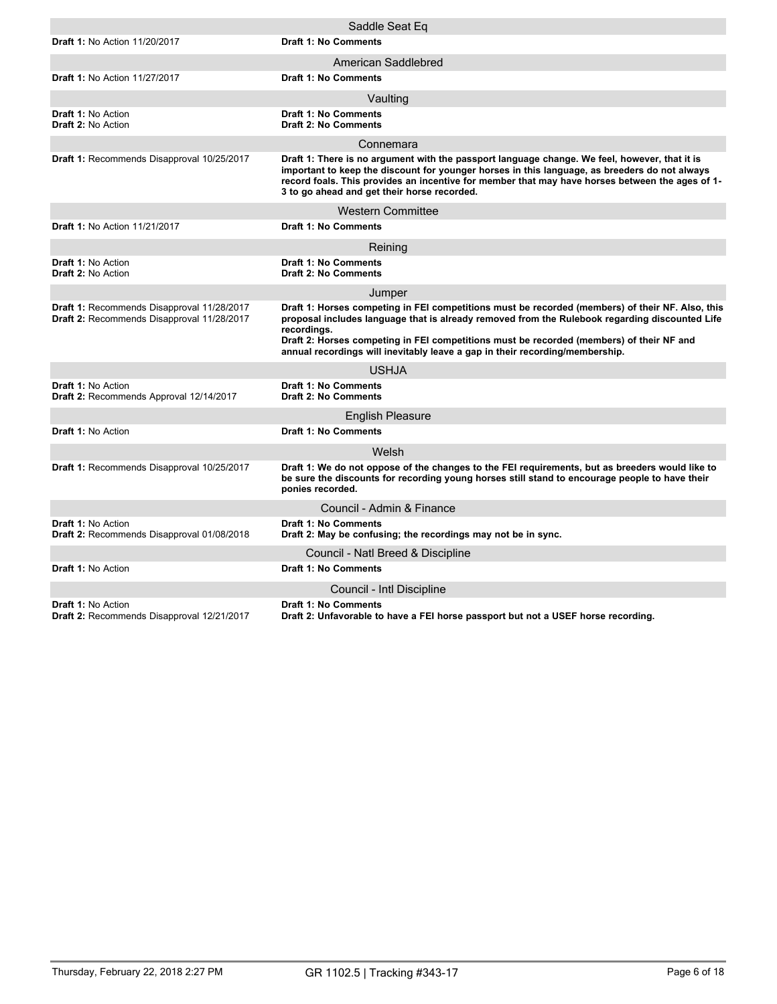|                                                                                          | Saddle Seat Eq                                                                                                                                                                                                                                                                                                                                                                                |
|------------------------------------------------------------------------------------------|-----------------------------------------------------------------------------------------------------------------------------------------------------------------------------------------------------------------------------------------------------------------------------------------------------------------------------------------------------------------------------------------------|
| <b>Draft 1: No Action 11/20/2017</b>                                                     | <b>Draft 1: No Comments</b>                                                                                                                                                                                                                                                                                                                                                                   |
|                                                                                          | American Saddlebred                                                                                                                                                                                                                                                                                                                                                                           |
| <b>Draft 1: No Action 11/27/2017</b>                                                     | <b>Draft 1: No Comments</b>                                                                                                                                                                                                                                                                                                                                                                   |
|                                                                                          | Vaulting                                                                                                                                                                                                                                                                                                                                                                                      |
| Draft 1: No Action<br>Draft 2: No Action                                                 | <b>Draft 1: No Comments</b><br><b>Draft 2: No Comments</b>                                                                                                                                                                                                                                                                                                                                    |
|                                                                                          | Connemara                                                                                                                                                                                                                                                                                                                                                                                     |
| Draft 1: Recommends Disapproval 10/25/2017                                               | Draft 1: There is no argument with the passport language change. We feel, however, that it is<br>important to keep the discount for younger horses in this language, as breeders do not always<br>record foals. This provides an incentive for member that may have horses between the ages of 1-<br>3 to go ahead and get their horse recorded.                                              |
|                                                                                          | <b>Western Committee</b>                                                                                                                                                                                                                                                                                                                                                                      |
| <b>Draft 1: No Action 11/21/2017</b>                                                     | <b>Draft 1: No Comments</b>                                                                                                                                                                                                                                                                                                                                                                   |
|                                                                                          | Reining                                                                                                                                                                                                                                                                                                                                                                                       |
| <b>Draft 1: No Action</b><br><b>Draft 2: No Action</b>                                   | Draft 1: No Comments<br><b>Draft 2: No Comments</b>                                                                                                                                                                                                                                                                                                                                           |
|                                                                                          | Jumper                                                                                                                                                                                                                                                                                                                                                                                        |
| Draft 1: Recommends Disapproval 11/28/2017<br>Draft 2: Recommends Disapproval 11/28/2017 | Draft 1: Horses competing in FEI competitions must be recorded (members) of their NF. Also, this<br>proposal includes language that is already removed from the Rulebook regarding discounted Life<br>recordinas.<br>Draft 2: Horses competing in FEI competitions must be recorded (members) of their NF and<br>annual recordings will inevitably leave a gap in their recording/membership. |
|                                                                                          | <b>USHJA</b>                                                                                                                                                                                                                                                                                                                                                                                  |
| <b>Draft 1: No Action</b><br>Draft 2: Recommends Approval 12/14/2017                     | <b>Draft 1: No Comments</b><br><b>Draft 2: No Comments</b>                                                                                                                                                                                                                                                                                                                                    |
|                                                                                          | <b>English Pleasure</b>                                                                                                                                                                                                                                                                                                                                                                       |
| <b>Draft 1: No Action</b>                                                                | <b>Draft 1: No Comments</b>                                                                                                                                                                                                                                                                                                                                                                   |
|                                                                                          | Welsh                                                                                                                                                                                                                                                                                                                                                                                         |
| Draft 1: Recommends Disapproval 10/25/2017                                               | Draft 1: We do not oppose of the changes to the FEI requirements, but as breeders would like to<br>be sure the discounts for recording young horses still stand to encourage people to have their<br>ponies recorded.                                                                                                                                                                         |
|                                                                                          | Council - Admin & Finance                                                                                                                                                                                                                                                                                                                                                                     |
| Draft 1: No Action<br>Draft 2: Recommends Disapproval 01/08/2018                         | <b>Draft 1: No Comments</b><br>Draft 2: May be confusing; the recordings may not be in sync.                                                                                                                                                                                                                                                                                                  |
|                                                                                          | Council - Natl Breed & Discipline                                                                                                                                                                                                                                                                                                                                                             |
| <b>Draft 1: No Action</b>                                                                | <b>Draft 1: No Comments</b>                                                                                                                                                                                                                                                                                                                                                                   |
|                                                                                          | Council - Intl Discipline                                                                                                                                                                                                                                                                                                                                                                     |
| <b>Draft 1: No Action</b><br>Draft 2: Recommends Disapproval 12/21/2017                  | <b>Draft 1: No Comments</b><br>Draft 2: Unfavorable to have a FEI horse passport but not a USEF horse recording.                                                                                                                                                                                                                                                                              |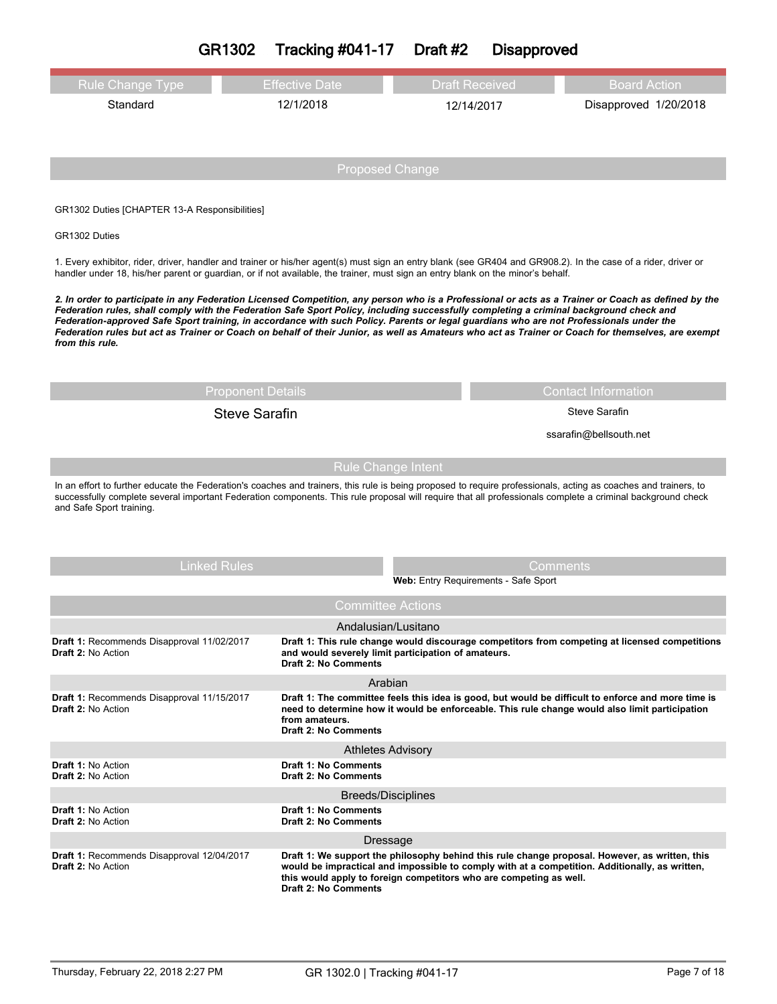# **GR1302 Tracking #041-17 Draft #2 Disapproved**

| Rule Change Type | <b>Effective Date</b> | <b>Draft Received</b> | Board Action          |
|------------------|-----------------------|-----------------------|-----------------------|
| Standard         | 12/1/2018             | 12/14/2017            | Disapproved 1/20/2018 |

### GR1302 Duties [CHAPTER 13-A Responsibilities]

### GR1302 Duties

1. Every exhibitor, rider, driver, handler and trainer or his/her agent(s) must sign an entry blank (see GR404 and GR908.2). In the case of a rider, driver or handler under 18, his/her parent or guardian, or if not available, the trainer, must sign an entry blank on the minor's behalf.

2. In order to participate in any Federation Licensed Competition, any person who is a Professional or acts as a Trainer or Coach as defined by the Federation rules, shall comply with the Federation Safe Sport Policy, including successfully completing a criminal background check and Federation-approved Safe Sport training, in accordance with such Policy. Parents or legal guardians who are not Professionals under the Federation rules but act as Trainer or Coach on behalf of their Junior, as well as Amateurs who act as Trainer or Coach for themselves, are exempt *from this rule.*

# Steve Sarafin Steve Sarafin

## Proponent Details **Contact Information**

ssarafin@bellsouth.net

## Rule Change Intent

In an effort to further educate the Federation's coaches and trainers, this rule is being proposed to require professionals, acting as coaches and trainers, to successfully complete several important Federation components. This rule proposal will require that all professionals complete a criminal background check and Safe Sport training.

| <b>Linked Rules</b>                                                     |                                                            | Comments                                                                                                                                                                                                                                                               |
|-------------------------------------------------------------------------|------------------------------------------------------------|------------------------------------------------------------------------------------------------------------------------------------------------------------------------------------------------------------------------------------------------------------------------|
|                                                                         |                                                            | Web: Entry Requirements - Safe Sport                                                                                                                                                                                                                                   |
|                                                                         |                                                            | <b>Committee Actions</b>                                                                                                                                                                                                                                               |
|                                                                         |                                                            | Andalusian/Lusitano                                                                                                                                                                                                                                                    |
| Draft 1: Recommends Disapproval 11/02/2017<br><b>Draft 2: No Action</b> | Draft 2: No Comments                                       | Draft 1: This rule change would discourage competitors from competing at licensed competitions<br>and would severely limit participation of amateurs.                                                                                                                  |
|                                                                         |                                                            | Arabian                                                                                                                                                                                                                                                                |
| Draft 1: Recommends Disapproval 11/15/2017<br><b>Draft 2: No Action</b> | from amateurs.<br>Draft 2: No Comments                     | Draft 1: The committee feels this idea is good, but would be difficult to enforce and more time is<br>need to determine how it would be enforceable. This rule change would also limit participation                                                                   |
|                                                                         |                                                            | <b>Athletes Advisory</b>                                                                                                                                                                                                                                               |
| <b>Draft 1: No Action</b><br><b>Draft 2: No Action</b>                  | <b>Draft 1: No Comments</b><br><b>Draft 2: No Comments</b> |                                                                                                                                                                                                                                                                        |
|                                                                         |                                                            | Breeds/Disciplines                                                                                                                                                                                                                                                     |
| Draft 1: No Action<br><b>Draft 2: No Action</b>                         | <b>Draft 1: No Comments</b><br><b>Draft 2: No Comments</b> |                                                                                                                                                                                                                                                                        |
|                                                                         |                                                            | Dressage                                                                                                                                                                                                                                                               |
| Draft 1: Recommends Disapproval 12/04/2017<br>Draft 2: No Action        | <b>Draft 2: No Comments</b>                                | Draft 1: We support the philosophy behind this rule change proposal. However, as written, this<br>would be impractical and impossible to comply with at a competition. Additionally, as written,<br>this would apply to foreign competitors who are competing as well. |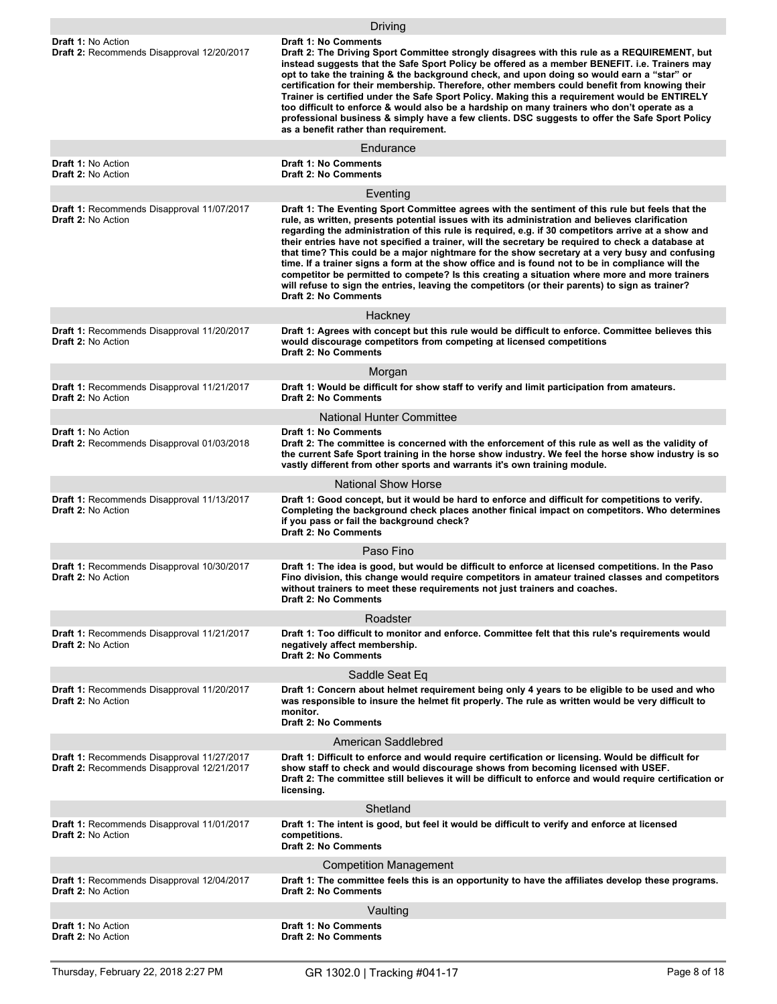|                                                                                          | Driving                                                                                                                                                                                                                                                                                                                                                                                                                                                                                                                                                                                                                                                                                                                                                                                                                                               |
|------------------------------------------------------------------------------------------|-------------------------------------------------------------------------------------------------------------------------------------------------------------------------------------------------------------------------------------------------------------------------------------------------------------------------------------------------------------------------------------------------------------------------------------------------------------------------------------------------------------------------------------------------------------------------------------------------------------------------------------------------------------------------------------------------------------------------------------------------------------------------------------------------------------------------------------------------------|
| <b>Draft 1: No Action</b><br>Draft 2: Recommends Disapproval 12/20/2017                  | Draft 1: No Comments<br>Draft 2: The Driving Sport Committee strongly disagrees with this rule as a REQUIREMENT, but<br>instead suggests that the Safe Sport Policy be offered as a member BENEFIT. i.e. Trainers may<br>opt to take the training & the background check, and upon doing so would earn a "star" or<br>certification for their membership. Therefore, other members could benefit from knowing their<br>Trainer is certified under the Safe Sport Policy. Making this a requirement would be ENTIRELY<br>too difficult to enforce & would also be a hardship on many trainers who don't operate as a<br>professional business & simply have a few clients. DSC suggests to offer the Safe Sport Policy<br>as a benefit rather than requirement.                                                                                        |
|                                                                                          | Endurance                                                                                                                                                                                                                                                                                                                                                                                                                                                                                                                                                                                                                                                                                                                                                                                                                                             |
| Draft 1: No Action<br><b>Draft 2: No Action</b>                                          | Draft 1: No Comments<br><b>Draft 2: No Comments</b>                                                                                                                                                                                                                                                                                                                                                                                                                                                                                                                                                                                                                                                                                                                                                                                                   |
|                                                                                          | Eventing                                                                                                                                                                                                                                                                                                                                                                                                                                                                                                                                                                                                                                                                                                                                                                                                                                              |
| Draft 1: Recommends Disapproval 11/07/2017<br><b>Draft 2: No Action</b>                  | Draft 1: The Eventing Sport Committee agrees with the sentiment of this rule but feels that the<br>rule, as written, presents potential issues with its administration and believes clarification<br>regarding the administration of this rule is required, e.g. if 30 competitors arrive at a show and<br>their entries have not specified a trainer, will the secretary be required to check a database at<br>that time? This could be a major nightmare for the show secretary at a very busy and confusing<br>time. If a trainer signs a form at the show office and is found not to be in compliance will the<br>competitor be permitted to compete? Is this creating a situation where more and more trainers<br>will refuse to sign the entries, leaving the competitors (or their parents) to sign as trainer?<br><b>Draft 2: No Comments</b> |
| Draft 1: Recommends Disapproval 11/20/2017<br><b>Draft 2: No Action</b>                  | Hackney<br>Draft 1: Agrees with concept but this rule would be difficult to enforce. Committee believes this<br>would discourage competitors from competing at licensed competitions<br><b>Draft 2: No Comments</b>                                                                                                                                                                                                                                                                                                                                                                                                                                                                                                                                                                                                                                   |
|                                                                                          | Morgan                                                                                                                                                                                                                                                                                                                                                                                                                                                                                                                                                                                                                                                                                                                                                                                                                                                |
| Draft 1: Recommends Disapproval 11/21/2017<br>Draft 2: No Action                         | Draft 1: Would be difficult for show staff to verify and limit participation from amateurs.<br><b>Draft 2: No Comments</b>                                                                                                                                                                                                                                                                                                                                                                                                                                                                                                                                                                                                                                                                                                                            |
|                                                                                          | <b>National Hunter Committee</b>                                                                                                                                                                                                                                                                                                                                                                                                                                                                                                                                                                                                                                                                                                                                                                                                                      |
| Draft 1: No Action<br>Draft 2: Recommends Disapproval 01/03/2018                         | <b>Draft 1: No Comments</b><br>Draft 2: The committee is concerned with the enforcement of this rule as well as the validity of<br>the current Safe Sport training in the horse show industry. We feel the horse show industry is so<br>vastly different from other sports and warrants it's own training module.                                                                                                                                                                                                                                                                                                                                                                                                                                                                                                                                     |
|                                                                                          | <b>National Show Horse</b>                                                                                                                                                                                                                                                                                                                                                                                                                                                                                                                                                                                                                                                                                                                                                                                                                            |
| Draft 1: Recommends Disapproval 11/13/2017<br><b>Draft 2: No Action</b>                  | Draft 1: Good concept, but it would be hard to enforce and difficult for competitions to verify.<br>Completing the background check places another finical impact on competitors. Who determines<br>if you pass or fail the background check?<br><b>Draft 2: No Comments</b>                                                                                                                                                                                                                                                                                                                                                                                                                                                                                                                                                                          |
|                                                                                          | Paso Fino                                                                                                                                                                                                                                                                                                                                                                                                                                                                                                                                                                                                                                                                                                                                                                                                                                             |
| Draft 1: Recommends Disapproval 10/30/2017<br>Draft 2: No Action                         | Draft 1: The idea is good, but would be difficult to enforce at licensed competitions. In the Paso<br>Fino division, this change would require competitors in amateur trained classes and competitors<br>without trainers to meet these requirements not just trainers and coaches.<br><b>Draft 2: No Comments</b>                                                                                                                                                                                                                                                                                                                                                                                                                                                                                                                                    |
|                                                                                          | Roadster                                                                                                                                                                                                                                                                                                                                                                                                                                                                                                                                                                                                                                                                                                                                                                                                                                              |
| Draft 1: Recommends Disapproval 11/21/2017<br><b>Draft 2: No Action</b>                  | Draft 1: Too difficult to monitor and enforce. Committee felt that this rule's requirements would<br>negatively affect membership.<br><b>Draft 2: No Comments</b>                                                                                                                                                                                                                                                                                                                                                                                                                                                                                                                                                                                                                                                                                     |
|                                                                                          | Saddle Seat Eq                                                                                                                                                                                                                                                                                                                                                                                                                                                                                                                                                                                                                                                                                                                                                                                                                                        |
| Draft 1: Recommends Disapproval 11/20/2017<br>Draft 2: No Action                         | Draft 1: Concern about helmet requirement being only 4 years to be eligible to be used and who<br>was responsible to insure the helmet fit properly. The rule as written would be very difficult to<br>monitor.<br><b>Draft 2: No Comments</b>                                                                                                                                                                                                                                                                                                                                                                                                                                                                                                                                                                                                        |
|                                                                                          | American Saddlebred                                                                                                                                                                                                                                                                                                                                                                                                                                                                                                                                                                                                                                                                                                                                                                                                                                   |
| Draft 1: Recommends Disapproval 11/27/2017<br>Draft 2: Recommends Disapproval 12/21/2017 | Draft 1: Difficult to enforce and would require certification or licensing. Would be difficult for<br>show staff to check and would discourage shows from becoming licensed with USEF.<br>Draft 2: The committee still believes it will be difficult to enforce and would require certification or<br>licensing.                                                                                                                                                                                                                                                                                                                                                                                                                                                                                                                                      |
|                                                                                          | Shetland                                                                                                                                                                                                                                                                                                                                                                                                                                                                                                                                                                                                                                                                                                                                                                                                                                              |
| Draft 1: Recommends Disapproval 11/01/2017<br><b>Draft 2: No Action</b>                  | Draft 1: The intent is good, but feel it would be difficult to verify and enforce at licensed<br>competitions.<br><b>Draft 2: No Comments</b>                                                                                                                                                                                                                                                                                                                                                                                                                                                                                                                                                                                                                                                                                                         |
|                                                                                          | <b>Competition Management</b>                                                                                                                                                                                                                                                                                                                                                                                                                                                                                                                                                                                                                                                                                                                                                                                                                         |
| Draft 1: Recommends Disapproval 12/04/2017<br><b>Draft 2: No Action</b>                  | Draft 1: The committee feels this is an opportunity to have the affiliates develop these programs.<br><b>Draft 2: No Comments</b>                                                                                                                                                                                                                                                                                                                                                                                                                                                                                                                                                                                                                                                                                                                     |
|                                                                                          | Vaulting                                                                                                                                                                                                                                                                                                                                                                                                                                                                                                                                                                                                                                                                                                                                                                                                                                              |
| <b>Draft 1: No Action</b><br><b>Draft 2: No Action</b>                                   | <b>Draft 1: No Comments</b><br><b>Draft 2: No Comments</b>                                                                                                                                                                                                                                                                                                                                                                                                                                                                                                                                                                                                                                                                                                                                                                                            |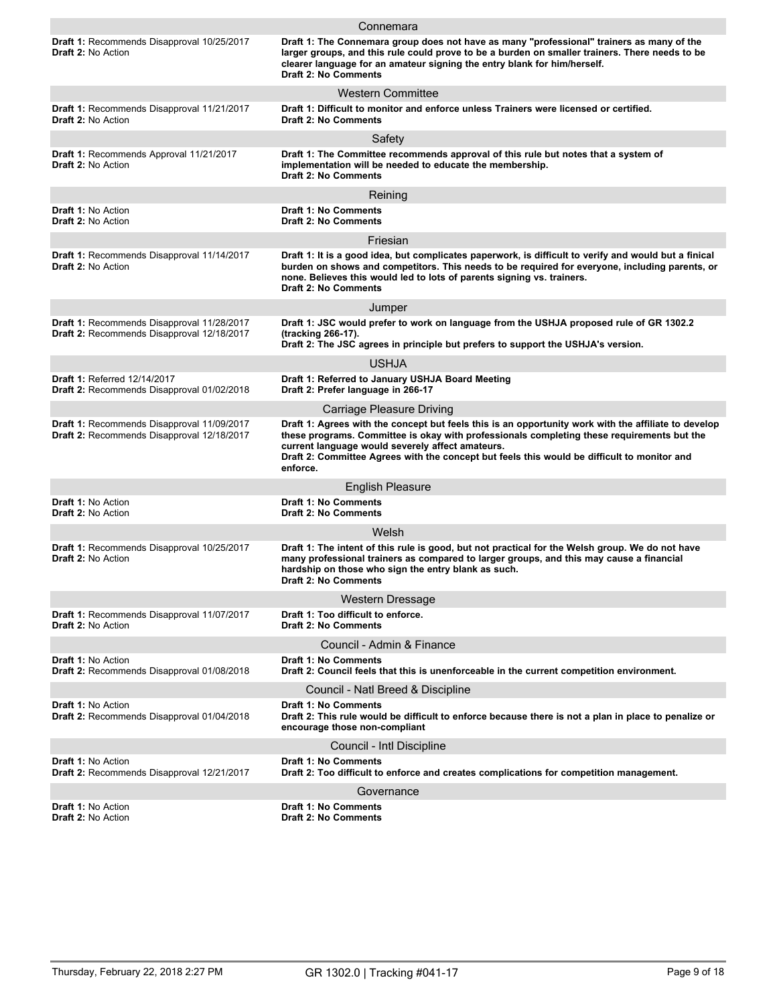|                                                                                                 | Connemara                                                                                                                                                                                                                                                                                                                                                         |
|-------------------------------------------------------------------------------------------------|-------------------------------------------------------------------------------------------------------------------------------------------------------------------------------------------------------------------------------------------------------------------------------------------------------------------------------------------------------------------|
| <b>Draft 1: Recommends Disapproval 10/25/2017</b><br><b>Draft 2: No Action</b>                  | Draft 1: The Connemara group does not have as many "professional" trainers as many of the<br>larger groups, and this rule could prove to be a burden on smaller trainers. There needs to be<br>clearer language for an amateur signing the entry blank for him/herself.<br><b>Draft 2: No Comments</b>                                                            |
|                                                                                                 | <b>Western Committee</b>                                                                                                                                                                                                                                                                                                                                          |
| Draft 1: Recommends Disapproval 11/21/2017<br><b>Draft 2: No Action</b>                         | Draft 1: Difficult to monitor and enforce unless Trainers were licensed or certified.<br><b>Draft 2: No Comments</b>                                                                                                                                                                                                                                              |
|                                                                                                 | Safety                                                                                                                                                                                                                                                                                                                                                            |
| <b>Draft 1: Recommends Approval 11/21/2017</b><br><b>Draft 2: No Action</b>                     | Draft 1: The Committee recommends approval of this rule but notes that a system of<br>implementation will be needed to educate the membership.<br><b>Draft 2: No Comments</b>                                                                                                                                                                                     |
|                                                                                                 | Reining                                                                                                                                                                                                                                                                                                                                                           |
| <b>Draft 1: No Action</b><br><b>Draft 2: No Action</b>                                          | <b>Draft 1: No Comments</b><br><b>Draft 2: No Comments</b>                                                                                                                                                                                                                                                                                                        |
|                                                                                                 | Friesian                                                                                                                                                                                                                                                                                                                                                          |
| Draft 1: Recommends Disapproval 11/14/2017<br>Draft 2: No Action                                | Draft 1: It is a good idea, but complicates paperwork, is difficult to verify and would but a finical<br>burden on shows and competitors. This needs to be required for everyone, including parents, or<br>none. Believes this would led to lots of parents signing vs. trainers.<br><b>Draft 2: No Comments</b>                                                  |
|                                                                                                 | Jumper                                                                                                                                                                                                                                                                                                                                                            |
| Draft 1: Recommends Disapproval 11/28/2017<br>Draft 2: Recommends Disapproval 12/18/2017        | Draft 1: JSC would prefer to work on language from the USHJA proposed rule of GR 1302.2<br>(tracking 266-17).<br>Draft 2: The JSC agrees in principle but prefers to support the USHJA's version.                                                                                                                                                                 |
|                                                                                                 | <b>USHJA</b>                                                                                                                                                                                                                                                                                                                                                      |
| <b>Draft 1: Referred 12/14/2017</b>                                                             | Draft 1: Referred to January USHJA Board Meeting                                                                                                                                                                                                                                                                                                                  |
| Draft 2: Recommends Disapproval 01/02/2018                                                      | Draft 2: Prefer language in 266-17                                                                                                                                                                                                                                                                                                                                |
|                                                                                                 | <b>Carriage Pleasure Driving</b>                                                                                                                                                                                                                                                                                                                                  |
| <b>Draft 1: Recommends Disapproval 11/09/2017</b><br>Draft 2: Recommends Disapproval 12/18/2017 | Draft 1: Agrees with the concept but feels this is an opportunity work with the affiliate to develop<br>these programs. Committee is okay with professionals completing these requirements but the<br>current language would severely affect amateurs.<br>Draft 2: Committee Agrees with the concept but feels this would be difficult to monitor and<br>enforce. |
|                                                                                                 | <b>English Pleasure</b>                                                                                                                                                                                                                                                                                                                                           |
| <b>Draft 1: No Action</b><br>Draft 2: No Action                                                 | <b>Draft 1: No Comments</b><br><b>Draft 2: No Comments</b>                                                                                                                                                                                                                                                                                                        |
|                                                                                                 | Welsh                                                                                                                                                                                                                                                                                                                                                             |
| <b>Draft 1: Recommends Disapproval 10/25/2017</b><br><b>Draft 2: No Action</b>                  | Draft 1: The intent of this rule is good, but not practical for the Welsh group. We do not have<br>many professional trainers as compared to larger groups, and this may cause a financial<br>hardship on those who sign the entry blank as such.<br><b>Draft 2: No Comments</b>                                                                                  |
|                                                                                                 | Western Dressage                                                                                                                                                                                                                                                                                                                                                  |
| Draft 1: Recommends Disapproval 11/07/2017<br>Draft 2: No Action                                | Draft 1: Too difficult to enforce.<br><b>Draft 2: No Comments</b>                                                                                                                                                                                                                                                                                                 |
|                                                                                                 | Council - Admin & Finance                                                                                                                                                                                                                                                                                                                                         |
| Draft 1: No Action<br>Draft 2: Recommends Disapproval 01/08/2018                                | <b>Draft 1: No Comments</b><br>Draft 2: Council feels that this is unenforceable in the current competition environment.                                                                                                                                                                                                                                          |
|                                                                                                 | Council - Natl Breed & Discipline                                                                                                                                                                                                                                                                                                                                 |
| <b>Draft 1: No Action</b><br>Draft 2: Recommends Disapproval 01/04/2018                         | <b>Draft 1: No Comments</b><br>Draft 2: This rule would be difficult to enforce because there is not a plan in place to penalize or<br>encourage those non-compliant                                                                                                                                                                                              |
|                                                                                                 | Council - Intl Discipline                                                                                                                                                                                                                                                                                                                                         |
| <b>Draft 1: No Action</b><br>Draft 2: Recommends Disapproval 12/21/2017                         | <b>Draft 1: No Comments</b><br>Draft 2: Too difficult to enforce and creates complications for competition management.                                                                                                                                                                                                                                            |
|                                                                                                 | Governance                                                                                                                                                                                                                                                                                                                                                        |
| <b>Draft 1: No Action</b><br>Draft 2: No Action                                                 | <b>Draft 1: No Comments</b><br>Draft 2: No Comments                                                                                                                                                                                                                                                                                                               |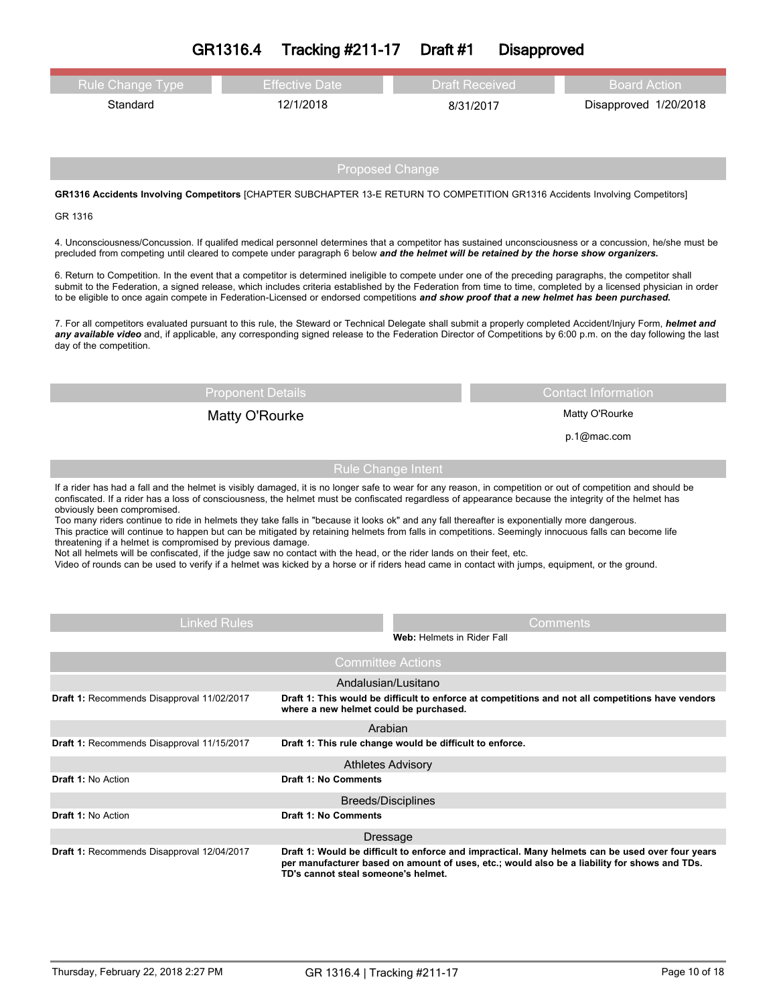# **GR1316.4 Tracking #211-17 Draft #1 Disapproved**

| Rule Change Type | Effective Date | <b>Draft Received</b> | Board Action          |
|------------------|----------------|-----------------------|-----------------------|
| Standard         | 12/1/2018      | 8/31/2017             | Disapproved 1/20/2018 |

## Proposed Change

### **GR1316 Accidents Involving Competitors** [CHAPTER SUBCHAPTER 13-E RETURN TO COMPETITION GR1316 Accidents Involving Competitors]

#### GR 1316

4. Unconsciousness/Concussion. If qualifed medical personnel determines that a competitor has sustained unconsciousness or a concussion, he/she must be precluded from competing until cleared to compete under paragraph 6 below *and the helmet will be retained by the horse show organizers.* 

6. Return to Competition. In the event that a competitor is determined ineligible to compete under one of the preceding paragraphs, the competitor shall submit to the Federation, a signed release, which includes criteria established by the Federation from time to time, completed by a licensed physician in order to be eligible to once again compete in Federation-Licensed or endorsed competitions *and show proof that a new helmet has been purchased.*

7. For all competitors evaluated pursuant to this rule, the Steward or Technical Delegate shall submit a properly completed Accident/Injury Form, *helmet and* any available video and, if applicable, any corresponding signed release to the Federation Director of Competitions by 6:00 p.m. on the day following the last day of the competition.

## Matty O'Rourke Matty O'Rourke

Proponent Details Contact Information

p.1@mac.com

## Rule Change Intent

If a rider has had a fall and the helmet is visibly damaged, it is no longer safe to wear for any reason, in competition or out of competition and should be confiscated. If a rider has a loss of consciousness, the helmet must be confiscated regardless of appearance because the integrity of the helmet has obviously been compromised.

Too many riders continue to ride in helmets they take falls in "because it looks ok" and any fall thereafter is exponentially more dangerous. This practice will continue to happen but can be mitigated by retaining helmets from falls in competitions. Seemingly innocuous falls can become life threatening if a helmet is compromised by previous damage.

Not all helmets will be confiscated, if the judge saw no contact with the head, or the rider lands on their feet, etc.

Video of rounds can be used to verify if a helmet was kicked by a horse or if riders head came in contact with jumps, equipment, or the ground.

| <b>Linked Rules</b>                        | Comments<br>Web: Helmets in Rider Fall                                                                                                                                                                                                  |
|--------------------------------------------|-----------------------------------------------------------------------------------------------------------------------------------------------------------------------------------------------------------------------------------------|
|                                            | <b>Committee Actions</b>                                                                                                                                                                                                                |
|                                            | Andalusian/Lusitano                                                                                                                                                                                                                     |
| Draft 1: Recommends Disapproval 11/02/2017 | Draft 1: This would be difficult to enforce at competitions and not all competitions have vendors<br>where a new helmet could be purchased.                                                                                             |
|                                            | Arabian                                                                                                                                                                                                                                 |
| Draft 1: Recommends Disapproval 11/15/2017 | Draft 1: This rule change would be difficult to enforce.                                                                                                                                                                                |
|                                            | <b>Athletes Advisory</b>                                                                                                                                                                                                                |
| <b>Draft 1: No Action</b>                  | <b>Draft 1: No Comments</b>                                                                                                                                                                                                             |
|                                            | Breeds/Disciplines                                                                                                                                                                                                                      |
| <b>Draft 1: No Action</b>                  | <b>Draft 1: No Comments</b>                                                                                                                                                                                                             |
|                                            | Dressage                                                                                                                                                                                                                                |
| Draft 1: Recommends Disapproval 12/04/2017 | Draft 1: Would be difficult to enforce and impractical. Many helmets can be used over four years<br>per manufacturer based on amount of uses, etc.; would also be a liability for shows and TDs.<br>TD's cannot steal someone's helmet. |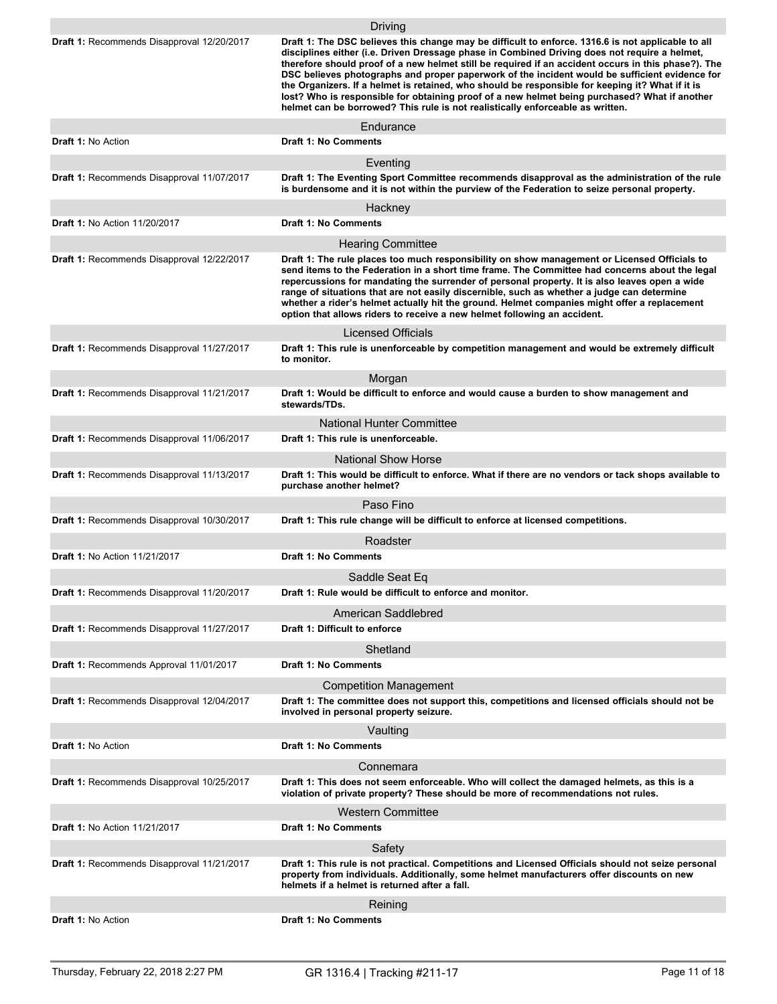|                                                   | <b>Driving</b>                                                                                                                                                                                                                                                                                                                                                                                                                                                                                                                                                                                                                                                                                      |
|---------------------------------------------------|-----------------------------------------------------------------------------------------------------------------------------------------------------------------------------------------------------------------------------------------------------------------------------------------------------------------------------------------------------------------------------------------------------------------------------------------------------------------------------------------------------------------------------------------------------------------------------------------------------------------------------------------------------------------------------------------------------|
| Draft 1: Recommends Disapproval 12/20/2017        | Draft 1: The DSC believes this change may be difficult to enforce. 1316.6 is not applicable to all<br>disciplines either (i.e. Driven Dressage phase in Combined Driving does not require a helmet,<br>therefore should proof of a new helmet still be required if an accident occurs in this phase?). The<br>DSC believes photographs and proper paperwork of the incident would be sufficient evidence for<br>the Organizers. If a helmet is retained, who should be responsible for keeping it? What if it is<br>lost? Who is responsible for obtaining proof of a new helmet being purchased? What if another<br>helmet can be borrowed? This rule is not realistically enforceable as written. |
|                                                   | Endurance                                                                                                                                                                                                                                                                                                                                                                                                                                                                                                                                                                                                                                                                                           |
| <b>Draft 1: No Action</b>                         | <b>Draft 1: No Comments</b>                                                                                                                                                                                                                                                                                                                                                                                                                                                                                                                                                                                                                                                                         |
|                                                   | Eventing                                                                                                                                                                                                                                                                                                                                                                                                                                                                                                                                                                                                                                                                                            |
| Draft 1: Recommends Disapproval 11/07/2017        | Draft 1: The Eventing Sport Committee recommends disapproval as the administration of the rule<br>is burdensome and it is not within the purview of the Federation to seize personal property.                                                                                                                                                                                                                                                                                                                                                                                                                                                                                                      |
|                                                   | Hackney                                                                                                                                                                                                                                                                                                                                                                                                                                                                                                                                                                                                                                                                                             |
| <b>Draft 1: No Action 11/20/2017</b>              | <b>Draft 1: No Comments</b>                                                                                                                                                                                                                                                                                                                                                                                                                                                                                                                                                                                                                                                                         |
|                                                   | <b>Hearing Committee</b>                                                                                                                                                                                                                                                                                                                                                                                                                                                                                                                                                                                                                                                                            |
| Draft 1: Recommends Disapproval 12/22/2017        | Draft 1: The rule places too much responsibility on show management or Licensed Officials to<br>send items to the Federation in a short time frame. The Committee had concerns about the legal<br>repercussions for mandating the surrender of personal property. It is also leaves open a wide<br>range of situations that are not easily discernible, such as whether a judge can determine<br>whether a rider's helmet actually hit the ground. Helmet companies might offer a replacement<br>option that allows riders to receive a new helmet following an accident.                                                                                                                           |
|                                                   | <b>Licensed Officials</b>                                                                                                                                                                                                                                                                                                                                                                                                                                                                                                                                                                                                                                                                           |
| Draft 1: Recommends Disapproval 11/27/2017        | Draft 1: This rule is unenforceable by competition management and would be extremely difficult<br>to monitor.                                                                                                                                                                                                                                                                                                                                                                                                                                                                                                                                                                                       |
|                                                   | Morgan                                                                                                                                                                                                                                                                                                                                                                                                                                                                                                                                                                                                                                                                                              |
| <b>Draft 1: Recommends Disapproval 11/21/2017</b> | Draft 1: Would be difficult to enforce and would cause a burden to show management and<br>stewards/TDs.                                                                                                                                                                                                                                                                                                                                                                                                                                                                                                                                                                                             |
|                                                   | <b>National Hunter Committee</b>                                                                                                                                                                                                                                                                                                                                                                                                                                                                                                                                                                                                                                                                    |
| Draft 1: Recommends Disapproval 11/06/2017        | Draft 1: This rule is unenforceable.                                                                                                                                                                                                                                                                                                                                                                                                                                                                                                                                                                                                                                                                |
|                                                   | <b>National Show Horse</b>                                                                                                                                                                                                                                                                                                                                                                                                                                                                                                                                                                                                                                                                          |
| Draft 1: Recommends Disapproval 11/13/2017        | Draft 1: This would be difficult to enforce. What if there are no vendors or tack shops available to<br>purchase another helmet?                                                                                                                                                                                                                                                                                                                                                                                                                                                                                                                                                                    |
|                                                   | Paso Fino                                                                                                                                                                                                                                                                                                                                                                                                                                                                                                                                                                                                                                                                                           |
| Draft 1: Recommends Disapproval 10/30/2017        | Draft 1: This rule change will be difficult to enforce at licensed competitions.                                                                                                                                                                                                                                                                                                                                                                                                                                                                                                                                                                                                                    |
|                                                   | Roadster                                                                                                                                                                                                                                                                                                                                                                                                                                                                                                                                                                                                                                                                                            |
| <b>Draft 1: No Action 11/21/2017</b>              | <b>Draft 1: No Comments</b>                                                                                                                                                                                                                                                                                                                                                                                                                                                                                                                                                                                                                                                                         |
|                                                   | Saddle Seat Eq                                                                                                                                                                                                                                                                                                                                                                                                                                                                                                                                                                                                                                                                                      |
| Draft 1: Recommends Disapproval 11/20/2017        | Draft 1: Rule would be difficult to enforce and monitor.                                                                                                                                                                                                                                                                                                                                                                                                                                                                                                                                                                                                                                            |
|                                                   | American Saddlebred                                                                                                                                                                                                                                                                                                                                                                                                                                                                                                                                                                                                                                                                                 |
| Draft 1: Recommends Disapproval 11/27/2017        | Draft 1: Difficult to enforce                                                                                                                                                                                                                                                                                                                                                                                                                                                                                                                                                                                                                                                                       |
|                                                   | Shetland                                                                                                                                                                                                                                                                                                                                                                                                                                                                                                                                                                                                                                                                                            |
| Draft 1: Recommends Approval 11/01/2017           | <b>Draft 1: No Comments</b>                                                                                                                                                                                                                                                                                                                                                                                                                                                                                                                                                                                                                                                                         |
|                                                   | <b>Competition Management</b>                                                                                                                                                                                                                                                                                                                                                                                                                                                                                                                                                                                                                                                                       |
| Draft 1: Recommends Disapproval 12/04/2017        | Draft 1: The committee does not support this, competitions and licensed officials should not be<br>involved in personal property seizure.                                                                                                                                                                                                                                                                                                                                                                                                                                                                                                                                                           |
|                                                   | Vaulting                                                                                                                                                                                                                                                                                                                                                                                                                                                                                                                                                                                                                                                                                            |
| <b>Draft 1: No Action</b>                         | <b>Draft 1: No Comments</b>                                                                                                                                                                                                                                                                                                                                                                                                                                                                                                                                                                                                                                                                         |
|                                                   | Connemara                                                                                                                                                                                                                                                                                                                                                                                                                                                                                                                                                                                                                                                                                           |
| Draft 1: Recommends Disapproval 10/25/2017        | Draft 1: This does not seem enforceable. Who will collect the damaged helmets, as this is a<br>violation of private property? These should be more of recommendations not rules.                                                                                                                                                                                                                                                                                                                                                                                                                                                                                                                    |
|                                                   | <b>Western Committee</b>                                                                                                                                                                                                                                                                                                                                                                                                                                                                                                                                                                                                                                                                            |
| <b>Draft 1: No Action 11/21/2017</b>              | <b>Draft 1: No Comments</b>                                                                                                                                                                                                                                                                                                                                                                                                                                                                                                                                                                                                                                                                         |
|                                                   | Safety                                                                                                                                                                                                                                                                                                                                                                                                                                                                                                                                                                                                                                                                                              |
| Draft 1: Recommends Disapproval 11/21/2017        | Draft 1: This rule is not practical. Competitions and Licensed Officials should not seize personal<br>property from individuals. Additionally, some helmet manufacturers offer discounts on new<br>helmets if a helmet is returned after a fall.                                                                                                                                                                                                                                                                                                                                                                                                                                                    |
|                                                   | Reining                                                                                                                                                                                                                                                                                                                                                                                                                                                                                                                                                                                                                                                                                             |
| <b>Draft 1: No Action</b>                         | Draft 1: No Comments                                                                                                                                                                                                                                                                                                                                                                                                                                                                                                                                                                                                                                                                                |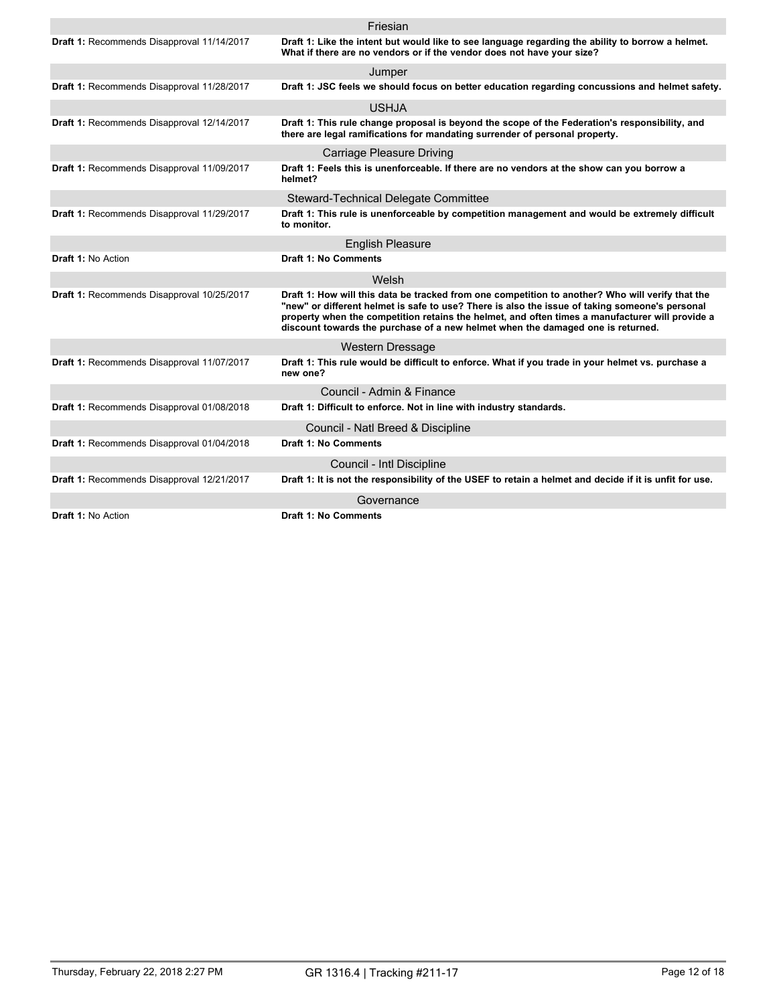|                                            | Friesian                                                                                                                                                                                                                                                                                                                                                                                 |
|--------------------------------------------|------------------------------------------------------------------------------------------------------------------------------------------------------------------------------------------------------------------------------------------------------------------------------------------------------------------------------------------------------------------------------------------|
| Draft 1: Recommends Disapproval 11/14/2017 | Draft 1: Like the intent but would like to see language regarding the ability to borrow a helmet.<br>What if there are no vendors or if the vendor does not have your size?                                                                                                                                                                                                              |
|                                            | Jumper                                                                                                                                                                                                                                                                                                                                                                                   |
| Draft 1: Recommends Disapproval 11/28/2017 | Draft 1: JSC feels we should focus on better education regarding concussions and helmet safety.                                                                                                                                                                                                                                                                                          |
|                                            | <b>USHJA</b>                                                                                                                                                                                                                                                                                                                                                                             |
| Draft 1: Recommends Disapproval 12/14/2017 | Draft 1: This rule change proposal is beyond the scope of the Federation's responsibility, and<br>there are legal ramifications for mandating surrender of personal property.                                                                                                                                                                                                            |
|                                            | <b>Carriage Pleasure Driving</b>                                                                                                                                                                                                                                                                                                                                                         |
| Draft 1: Recommends Disapproval 11/09/2017 | Draft 1: Feels this is unenforceable. If there are no vendors at the show can you borrow a<br>helmet?                                                                                                                                                                                                                                                                                    |
|                                            | Steward-Technical Delegate Committee                                                                                                                                                                                                                                                                                                                                                     |
| Draft 1: Recommends Disapproval 11/29/2017 | Draft 1: This rule is unenforceable by competition management and would be extremely difficult<br>to monitor.                                                                                                                                                                                                                                                                            |
|                                            | <b>English Pleasure</b>                                                                                                                                                                                                                                                                                                                                                                  |
| Draft 1: No Action                         | <b>Draft 1: No Comments</b>                                                                                                                                                                                                                                                                                                                                                              |
|                                            | Welsh                                                                                                                                                                                                                                                                                                                                                                                    |
| Draft 1: Recommends Disapproval 10/25/2017 | Draft 1: How will this data be tracked from one competition to another? Who will verify that the<br>"new" or different helmet is safe to use? There is also the issue of taking someone's personal<br>property when the competition retains the helmet, and often times a manufacturer will provide a<br>discount towards the purchase of a new helmet when the damaged one is returned. |
|                                            | <b>Western Dressage</b>                                                                                                                                                                                                                                                                                                                                                                  |
| Draft 1: Recommends Disapproval 11/07/2017 | Draft 1: This rule would be difficult to enforce. What if you trade in your helmet vs. purchase a<br>new one?                                                                                                                                                                                                                                                                            |
|                                            | Council - Admin & Finance                                                                                                                                                                                                                                                                                                                                                                |
| Draft 1: Recommends Disapproval 01/08/2018 | Draft 1: Difficult to enforce. Not in line with industry standards.                                                                                                                                                                                                                                                                                                                      |
|                                            | Council - Natl Breed & Discipline                                                                                                                                                                                                                                                                                                                                                        |
| Draft 1: Recommends Disapproval 01/04/2018 | <b>Draft 1: No Comments</b>                                                                                                                                                                                                                                                                                                                                                              |
|                                            | Council - Intl Discipline                                                                                                                                                                                                                                                                                                                                                                |
| Draft 1: Recommends Disapproval 12/21/2017 | Draft 1: It is not the responsibility of the USEF to retain a helmet and decide if it is unfit for use.                                                                                                                                                                                                                                                                                  |
|                                            | Governance                                                                                                                                                                                                                                                                                                                                                                               |
| <b>Draft 1: No Action</b>                  | <b>Draft 1: No Comments</b>                                                                                                                                                                                                                                                                                                                                                              |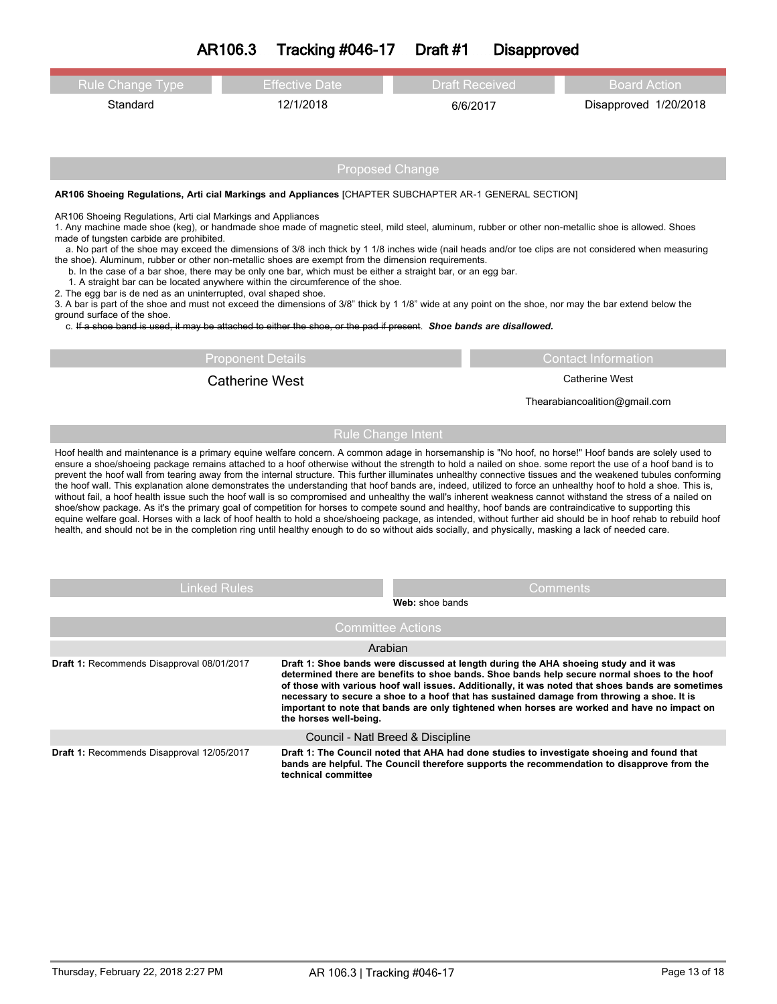| <b>Rule Change Type</b>                                                                                                                                                                                                                                                                                                                                                                                                                                                                                                                                                                                                                                                                                                                                                                                                                                                                                                                                                                                                                                                                                                                                                                                                                                                                                      | <b>Effective Date</b>    | <b>Draft Received</b>                                                                                                                                                                                                                                                                                                                                                              | <b>Board Action</b>                                                                               |  |  |  |  |  |  |
|--------------------------------------------------------------------------------------------------------------------------------------------------------------------------------------------------------------------------------------------------------------------------------------------------------------------------------------------------------------------------------------------------------------------------------------------------------------------------------------------------------------------------------------------------------------------------------------------------------------------------------------------------------------------------------------------------------------------------------------------------------------------------------------------------------------------------------------------------------------------------------------------------------------------------------------------------------------------------------------------------------------------------------------------------------------------------------------------------------------------------------------------------------------------------------------------------------------------------------------------------------------------------------------------------------------|--------------------------|------------------------------------------------------------------------------------------------------------------------------------------------------------------------------------------------------------------------------------------------------------------------------------------------------------------------------------------------------------------------------------|---------------------------------------------------------------------------------------------------|--|--|--|--|--|--|
| Standard                                                                                                                                                                                                                                                                                                                                                                                                                                                                                                                                                                                                                                                                                                                                                                                                                                                                                                                                                                                                                                                                                                                                                                                                                                                                                                     | 12/1/2018                | 6/6/2017                                                                                                                                                                                                                                                                                                                                                                           | Disapproved 1/20/2018                                                                             |  |  |  |  |  |  |
|                                                                                                                                                                                                                                                                                                                                                                                                                                                                                                                                                                                                                                                                                                                                                                                                                                                                                                                                                                                                                                                                                                                                                                                                                                                                                                              |                          |                                                                                                                                                                                                                                                                                                                                                                                    |                                                                                                   |  |  |  |  |  |  |
|                                                                                                                                                                                                                                                                                                                                                                                                                                                                                                                                                                                                                                                                                                                                                                                                                                                                                                                                                                                                                                                                                                                                                                                                                                                                                                              |                          |                                                                                                                                                                                                                                                                                                                                                                                    |                                                                                                   |  |  |  |  |  |  |
|                                                                                                                                                                                                                                                                                                                                                                                                                                                                                                                                                                                                                                                                                                                                                                                                                                                                                                                                                                                                                                                                                                                                                                                                                                                                                                              |                          | <b>Proposed Change</b>                                                                                                                                                                                                                                                                                                                                                             |                                                                                                   |  |  |  |  |  |  |
| AR106 Shoeing Regulations, Arti cial Markings and Appliances [CHAPTER SUBCHAPTER AR-1 GENERAL SECTION]                                                                                                                                                                                                                                                                                                                                                                                                                                                                                                                                                                                                                                                                                                                                                                                                                                                                                                                                                                                                                                                                                                                                                                                                       |                          |                                                                                                                                                                                                                                                                                                                                                                                    |                                                                                                   |  |  |  |  |  |  |
| AR106 Shoeing Regulations, Arti cial Markings and Appliances<br>1. Any machine made shoe (keg), or handmade shoe made of magnetic steel, mild steel, aluminum, rubber or other non-metallic shoe is allowed. Shoes<br>made of tungsten carbide are prohibited.<br>a. No part of the shoe may exceed the dimensions of 3/8 inch thick by 1 1/8 inches wide (nail heads and/or toe clips are not considered when measuring<br>the shoe). Aluminum, rubber or other non-metallic shoes are exempt from the dimension requirements.<br>b. In the case of a bar shoe, there may be only one bar, which must be either a straight bar, or an egg bar.<br>1. A straight bar can be located anywhere within the circumference of the shoe.<br>2. The egg bar is de ned as an uninterrupted, oval shaped shoe.<br>3. A bar is part of the shoe and must not exceed the dimensions of 3/8" thick by 1 1/8" wide at any point on the shoe, nor may the bar extend below the<br>ground surface of the shoe.<br>c. If a shoe band is used, it may be attached to either the shoe, or the pad if present. Shoe bands are disallowed.                                                                                                                                                                                       |                          |                                                                                                                                                                                                                                                                                                                                                                                    |                                                                                                   |  |  |  |  |  |  |
|                                                                                                                                                                                                                                                                                                                                                                                                                                                                                                                                                                                                                                                                                                                                                                                                                                                                                                                                                                                                                                                                                                                                                                                                                                                                                                              | <b>Proponent Details</b> |                                                                                                                                                                                                                                                                                                                                                                                    | <b>Contact Information</b>                                                                        |  |  |  |  |  |  |
|                                                                                                                                                                                                                                                                                                                                                                                                                                                                                                                                                                                                                                                                                                                                                                                                                                                                                                                                                                                                                                                                                                                                                                                                                                                                                                              | <b>Catherine West</b>    |                                                                                                                                                                                                                                                                                                                                                                                    | <b>Catherine West</b>                                                                             |  |  |  |  |  |  |
|                                                                                                                                                                                                                                                                                                                                                                                                                                                                                                                                                                                                                                                                                                                                                                                                                                                                                                                                                                                                                                                                                                                                                                                                                                                                                                              |                          |                                                                                                                                                                                                                                                                                                                                                                                    | Thearabiancoalition@gmail.com                                                                     |  |  |  |  |  |  |
| Rule Change Intent                                                                                                                                                                                                                                                                                                                                                                                                                                                                                                                                                                                                                                                                                                                                                                                                                                                                                                                                                                                                                                                                                                                                                                                                                                                                                           |                          |                                                                                                                                                                                                                                                                                                                                                                                    |                                                                                                   |  |  |  |  |  |  |
| Hoof health and maintenance is a primary equine welfare concern. A common adage in horsemanship is "No hoof, no horse!" Hoof bands are solely used to<br>ensure a shoe/shoeing package remains attached to a hoof otherwise without the strength to hold a nailed on shoe, some report the use of a hoof band is to<br>prevent the hoof wall from tearing away from the internal structure. This further illuminates unhealthy connective tissues and the weakened tubules conforming<br>the hoof wall. This explanation alone demonstrates the understanding that hoof bands are, indeed, utilized to force an unhealthy hoof to hold a shoe. This is,<br>without fail, a hoof health issue such the hoof wall is so compromised and unhealthy the wall's inherent weakness cannot withstand the stress of a nailed on<br>shoe/show package. As it's the primary goal of competition for horses to compete sound and healthy, hoof bands are contraindicative to supporting this<br>equine welfare goal. Horses with a lack of hoof health to hold a shoe/shoeing package, as intended, without further aid should be in hoof rehab to rebuild hoof<br>health, and should not be in the completion ring until healthy enough to do so without aids socially, and physically, masking a lack of needed care. |                          |                                                                                                                                                                                                                                                                                                                                                                                    |                                                                                                   |  |  |  |  |  |  |
| <b>Linked Rules</b><br><b>Comments</b><br>Web: shoe bands                                                                                                                                                                                                                                                                                                                                                                                                                                                                                                                                                                                                                                                                                                                                                                                                                                                                                                                                                                                                                                                                                                                                                                                                                                                    |                          |                                                                                                                                                                                                                                                                                                                                                                                    |                                                                                                   |  |  |  |  |  |  |
| <b>Committee Actions</b>                                                                                                                                                                                                                                                                                                                                                                                                                                                                                                                                                                                                                                                                                                                                                                                                                                                                                                                                                                                                                                                                                                                                                                                                                                                                                     |                          |                                                                                                                                                                                                                                                                                                                                                                                    |                                                                                                   |  |  |  |  |  |  |
|                                                                                                                                                                                                                                                                                                                                                                                                                                                                                                                                                                                                                                                                                                                                                                                                                                                                                                                                                                                                                                                                                                                                                                                                                                                                                                              |                          | Arabian                                                                                                                                                                                                                                                                                                                                                                            |                                                                                                   |  |  |  |  |  |  |
| Draft 1: Recommends Disapproval 08/01/2017                                                                                                                                                                                                                                                                                                                                                                                                                                                                                                                                                                                                                                                                                                                                                                                                                                                                                                                                                                                                                                                                                                                                                                                                                                                                   |                          | Draft 1: Shoe bands were discussed at length during the AHA shoeing study and it was<br>determined there are benefits to shoe bands. Shoe bands help secure normal shoes to the hoof<br>necessary to secure a shoe to a hoof that has sustained damage from throwing a shoe. It is<br>important to note that bands are only tightened when horses are worked and have no impact on | of those with various hoof wall issues. Additionally, it was noted that shoes bands are sometimes |  |  |  |  |  |  |

**Draft 1:** Recommends Disapproval 12/05/2017

**Draft 1: The Council noted that AHA had done studies to investigate shoeing and found that bands are helpful. The Council therefore supports the recommendation to disapprove from the technical committee** Council - Natl Breed & Discipline

**the horses well-being.**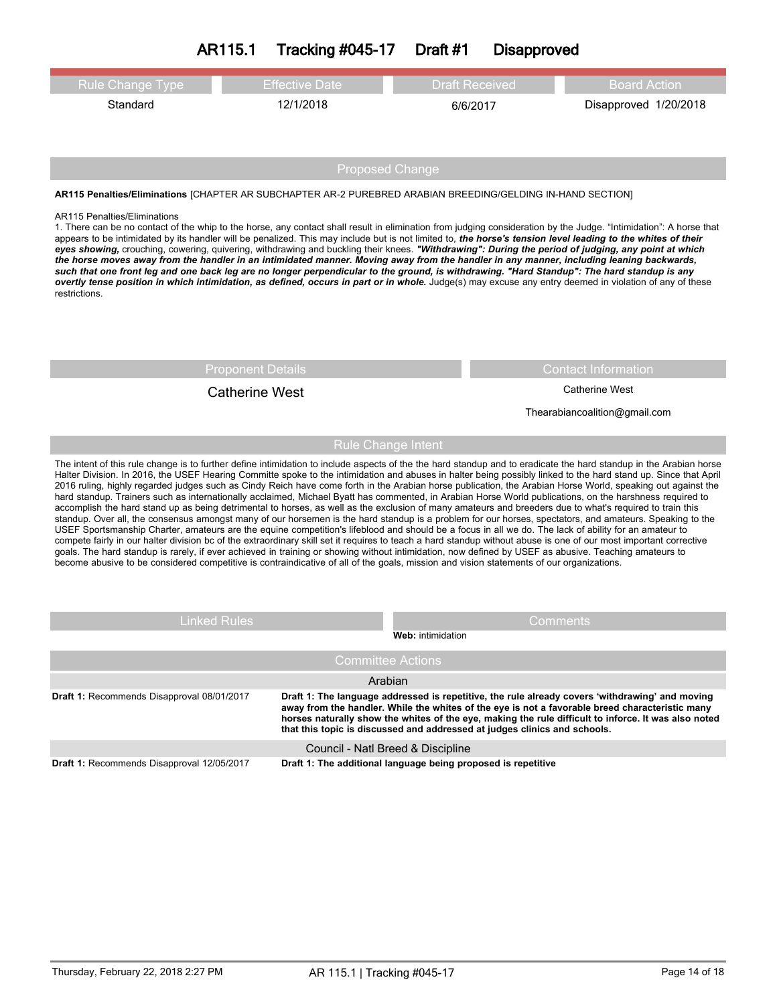# **AR115.1 Tracking #045-17 Draft #1 Disapproved**

| <b>Rule Change Type</b> | <b>Effective Date</b> | <b>Draft Received</b>             | Board Action |  |
|-------------------------|-----------------------|-----------------------------------|--------------|--|
| Standard                | 12/1/2018             | Disapproved 1/20/2018<br>6/6/2017 |              |  |
|                         |                       |                                   |              |  |

Proposed Change

**AR115 Penalties/Eliminations** [CHAPTER AR SUBCHAPTER AR-2 PUREBRED ARABIAN BREEDING/GELDING IN-HAND SECTION]

#### AR115 Penalties/Eliminations

1. There can be no contact of the whip to the horse, any contact shall result in elimination from judging consideration by the Judge. "Intimidation": A horse that appears to be intimidated by its handler will be penalized. This may include but is not limited to, the horse's tension level leading to the whites of their eyes showing, crouching, cowering, quivering, withdrawing and buckling their knees. "Withdrawing": During the period of judging, any point at which the horse moves away from the handler in an intimidated manner. Moving away from the handler in any manner, including leaning backwards, such that one front leg and one back leg are no longer perpendicular to the ground, is withdrawing. "Hard Standup": The hard standup is any overtly tense position in which intimidation, as defined, occurs in part or in whole. Judge(s) may excuse any entry deemed in violation of any of these restrictions.

# Catherine West **Catherine West** Catherine West

Proponent Details Contact Information

Thearabiancoalition@gmail.com

## Rule Change Intent

The intent of this rule change is to further define intimidation to include aspects of the the hard standup and to eradicate the hard standup in the Arabian horse Halter Division. In 2016, the USEF Hearing Committe spoke to the intimidation and abuses in halter being possibly linked to the hard stand up. Since that April 2016 ruling, highly regarded judges such as Cindy Reich have come forth in the Arabian horse publication, the Arabian Horse World, speaking out against the hard standup. Trainers such as internationally acclaimed, Michael Byatt has commented, in Arabian Horse World publications, on the harshness required to accomplish the hard stand up as being detrimental to horses, as well as the exclusion of many amateurs and breeders due to what's required to train this standup. Over all, the consensus amongst many of our horsemen is the hard standup is a problem for our horses, spectators, and amateurs. Speaking to the USEF Sportsmanship Charter, amateurs are the equine competition's lifeblood and should be a focus in all we do. The lack of ability for an amateur to compete fairly in our halter division bc of the extraordinary skill set it requires to teach a hard standup without abuse is one of our most important corrective goals. The hard standup is rarely, if ever achieved in training or showing without intimidation, now defined by USEF as abusive. Teaching amateurs to become abusive to be considered competitive is contraindicative of all of the goals, mission and vision statements of our organizations.

| Linked Rules                                                                                                                                                                                                                                                                                                                                                                                                                          | <b>Comments</b><br><b>Web:</b> intimidation                   |  |
|---------------------------------------------------------------------------------------------------------------------------------------------------------------------------------------------------------------------------------------------------------------------------------------------------------------------------------------------------------------------------------------------------------------------------------------|---------------------------------------------------------------|--|
|                                                                                                                                                                                                                                                                                                                                                                                                                                       | <b>Committee Actions</b>                                      |  |
|                                                                                                                                                                                                                                                                                                                                                                                                                                       | Arabian                                                       |  |
| Draft 1: The language addressed is repetitive, the rule already covers 'withdrawing' and moving<br>Draft 1: Recommends Disapproval 08/01/2017<br>away from the handler. While the whites of the eye is not a favorable breed characteristic many<br>horses naturally show the whites of the eye, making the rule difficult to inforce. It was also noted<br>that this topic is discussed and addressed at judges clinics and schools. |                                                               |  |
|                                                                                                                                                                                                                                                                                                                                                                                                                                       | Council - Natl Breed & Discipline                             |  |
| Draft 1: Recommends Disapproval 12/05/2017                                                                                                                                                                                                                                                                                                                                                                                            | Draft 1: The additional language being proposed is repetitive |  |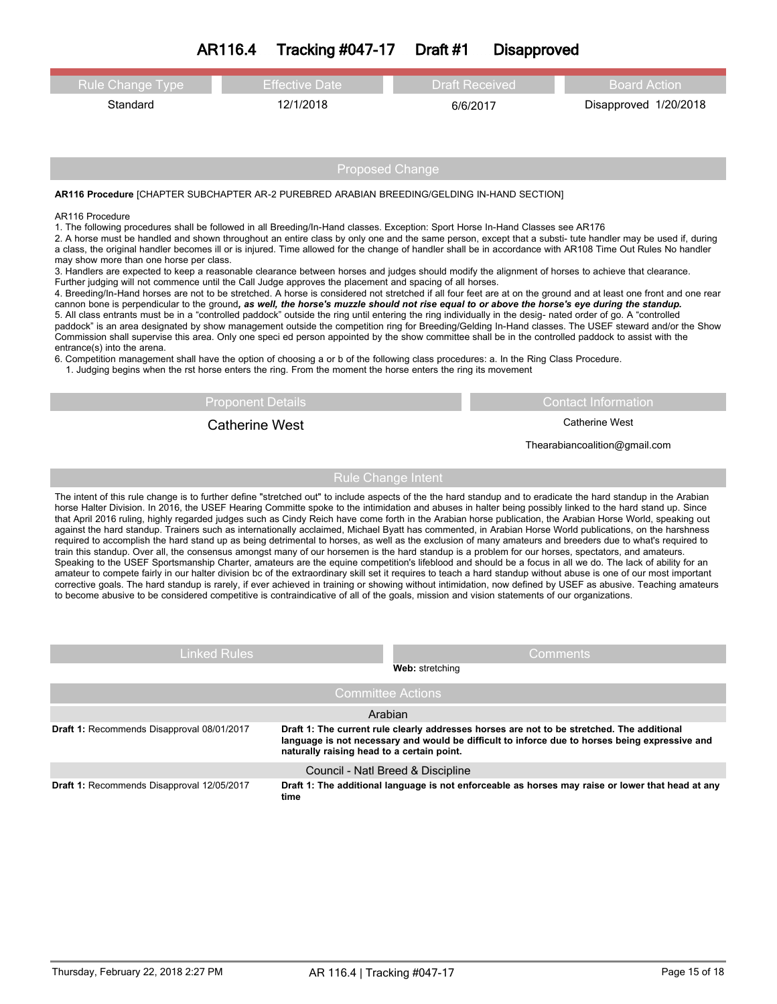| <b>Rule Change Type</b>                                                                                                                                                                                                                                                                                                                                                                                                                                                                                                                                                                                                                                                                                                                                                                                                                                                                                                                                                                                                                                                                                                                                                                                                                                                                                                                                                                                                                                                                                                                                                                                                                                                                                                                                                                                                                                                                     | <b>Effective Date</b>                                  | <b>Draft Received</b> | <b>Board Action</b>           |  |  |  |  |  |  |
|---------------------------------------------------------------------------------------------------------------------------------------------------------------------------------------------------------------------------------------------------------------------------------------------------------------------------------------------------------------------------------------------------------------------------------------------------------------------------------------------------------------------------------------------------------------------------------------------------------------------------------------------------------------------------------------------------------------------------------------------------------------------------------------------------------------------------------------------------------------------------------------------------------------------------------------------------------------------------------------------------------------------------------------------------------------------------------------------------------------------------------------------------------------------------------------------------------------------------------------------------------------------------------------------------------------------------------------------------------------------------------------------------------------------------------------------------------------------------------------------------------------------------------------------------------------------------------------------------------------------------------------------------------------------------------------------------------------------------------------------------------------------------------------------------------------------------------------------------------------------------------------------|--------------------------------------------------------|-----------------------|-------------------------------|--|--|--|--|--|--|
| Standard                                                                                                                                                                                                                                                                                                                                                                                                                                                                                                                                                                                                                                                                                                                                                                                                                                                                                                                                                                                                                                                                                                                                                                                                                                                                                                                                                                                                                                                                                                                                                                                                                                                                                                                                                                                                                                                                                    | 12/1/2018                                              | 6/6/2017              | Disapproved 1/20/2018         |  |  |  |  |  |  |
|                                                                                                                                                                                                                                                                                                                                                                                                                                                                                                                                                                                                                                                                                                                                                                                                                                                                                                                                                                                                                                                                                                                                                                                                                                                                                                                                                                                                                                                                                                                                                                                                                                                                                                                                                                                                                                                                                             |                                                        |                       |                               |  |  |  |  |  |  |
|                                                                                                                                                                                                                                                                                                                                                                                                                                                                                                                                                                                                                                                                                                                                                                                                                                                                                                                                                                                                                                                                                                                                                                                                                                                                                                                                                                                                                                                                                                                                                                                                                                                                                                                                                                                                                                                                                             |                                                        |                       |                               |  |  |  |  |  |  |
|                                                                                                                                                                                                                                                                                                                                                                                                                                                                                                                                                                                                                                                                                                                                                                                                                                                                                                                                                                                                                                                                                                                                                                                                                                                                                                                                                                                                                                                                                                                                                                                                                                                                                                                                                                                                                                                                                             | <b>Proposed Change</b>                                 |                       |                               |  |  |  |  |  |  |
| AR116 Procedure [CHAPTER SUBCHAPTER AR-2 PUREBRED ARABIAN BREEDING/GELDING IN-HAND SECTION]                                                                                                                                                                                                                                                                                                                                                                                                                                                                                                                                                                                                                                                                                                                                                                                                                                                                                                                                                                                                                                                                                                                                                                                                                                                                                                                                                                                                                                                                                                                                                                                                                                                                                                                                                                                                 |                                                        |                       |                               |  |  |  |  |  |  |
| AR116 Procedure<br>1. The following procedures shall be followed in all Breeding/In-Hand classes. Exception: Sport Horse In-Hand Classes see AR176<br>2. A horse must be handled and shown throughout an entire class by only one and the same person, except that a substi- tute handler may be used if, during<br>a class, the original handler becomes ill or is injured. Time allowed for the change of handler shall be in accordance with AR108 Time Out Rules No handler<br>may show more than one horse per class.<br>3. Handlers are expected to keep a reasonable clearance between horses and judges should modify the alignment of horses to achieve that clearance.<br>Further judging will not commence until the Call Judge approves the placement and spacing of all horses.<br>4. Breeding/In-Hand horses are not to be stretched. A horse is considered not stretched if all four feet are at on the ground and at least one front and one rear<br>cannon bone is perpendicular to the ground, as well, the horse's muzzle should not rise equal to or above the horse's eye during the standup.<br>5. All class entrants must be in a "controlled paddock" outside the ring until entering the ring individually in the desig- nated order of go. A "controlled<br>paddock" is an area designated by show management outside the competition ring for Breeding/Gelding In-Hand classes. The USEF steward and/or the Show<br>Commission shall supervise this area. Only one speci ed person appointed by the show committee shall be in the controlled paddock to assist with the<br>entrance(s) into the arena.<br>6. Competition management shall have the option of choosing a or b of the following class procedures: a. In the Ring Class Procedure.<br>1. Judging begins when the rst horse enters the ring. From the moment the horse enters the ring its movement |                                                        |                       |                               |  |  |  |  |  |  |
|                                                                                                                                                                                                                                                                                                                                                                                                                                                                                                                                                                                                                                                                                                                                                                                                                                                                                                                                                                                                                                                                                                                                                                                                                                                                                                                                                                                                                                                                                                                                                                                                                                                                                                                                                                                                                                                                                             | <b>Proponent Details</b><br><b>Contact Information</b> |                       |                               |  |  |  |  |  |  |
|                                                                                                                                                                                                                                                                                                                                                                                                                                                                                                                                                                                                                                                                                                                                                                                                                                                                                                                                                                                                                                                                                                                                                                                                                                                                                                                                                                                                                                                                                                                                                                                                                                                                                                                                                                                                                                                                                             | <b>Catherine West</b>                                  |                       | <b>Catherine West</b>         |  |  |  |  |  |  |
|                                                                                                                                                                                                                                                                                                                                                                                                                                                                                                                                                                                                                                                                                                                                                                                                                                                                                                                                                                                                                                                                                                                                                                                                                                                                                                                                                                                                                                                                                                                                                                                                                                                                                                                                                                                                                                                                                             |                                                        |                       | Thearabiancoalition@gmail.com |  |  |  |  |  |  |
|                                                                                                                                                                                                                                                                                                                                                                                                                                                                                                                                                                                                                                                                                                                                                                                                                                                                                                                                                                                                                                                                                                                                                                                                                                                                                                                                                                                                                                                                                                                                                                                                                                                                                                                                                                                                                                                                                             | <b>Rule Change Intent</b>                              |                       |                               |  |  |  |  |  |  |
| The intent of this rule change is to further define "stretched out" to include aspects of the the hard standup and to eradicate the hard standup in the Arabian<br>horse Halter Division. In 2016, the USEF Hearing Committe spoke to the intimidation and abuses in halter being possibly linked to the hard stand up. Since<br>that April 2016 ruling, highly regarded judges such as Cindy Reich have come forth in the Arabian horse publication, the Arabian Horse World, speaking out<br>against the hard standup. Trainers such as internationally acclaimed, Michael Byatt has commented, in Arabian Horse World publications, on the harshness<br>required to accomplish the hard stand up as being detrimental to horses, as well as the exclusion of many amateurs and breeders due to what's required to<br>train this standup. Over all, the consensus amongst many of our horsemen is the hard standup is a problem for our horses, spectators, and amateurs.<br>Speaking to the USEF Sportsmanship Charter, amateurs are the equine competition's lifeblood and should be a focus in all we do. The lack of ability for an<br>amateur to compete fairly in our halter division bc of the extraordinary skill set it requires to teach a hard standup without abuse is one of our most important<br>corrective goals. The hard standup is rarely, if ever achieved in training or showing without intimidation, now defined by USEF as abusive. Teaching amateurs<br>to become abusive to be considered competitive is contraindicative of all of the goals, mission and vision statements of our organizations.                                                                                                                                                                                                                                                              |                                                        |                       |                               |  |  |  |  |  |  |
| <b>Linked Rules</b>                                                                                                                                                                                                                                                                                                                                                                                                                                                                                                                                                                                                                                                                                                                                                                                                                                                                                                                                                                                                                                                                                                                                                                                                                                                                                                                                                                                                                                                                                                                                                                                                                                                                                                                                                                                                                                                                         |                                                        |                       | Comments                      |  |  |  |  |  |  |
|                                                                                                                                                                                                                                                                                                                                                                                                                                                                                                                                                                                                                                                                                                                                                                                                                                                                                                                                                                                                                                                                                                                                                                                                                                                                                                                                                                                                                                                                                                                                                                                                                                                                                                                                                                                                                                                                                             |                                                        | Web: stretching       |                               |  |  |  |  |  |  |

|                                            | <b>IVED.</b> SUCIUIIIIU                                                                                                                                                                                                                    |
|--------------------------------------------|--------------------------------------------------------------------------------------------------------------------------------------------------------------------------------------------------------------------------------------------|
|                                            | Committee Actions                                                                                                                                                                                                                          |
|                                            | Arabian                                                                                                                                                                                                                                    |
| Draft 1: Recommends Disapproval 08/01/2017 | Draft 1: The current rule clearly addresses horses are not to be stretched. The additional<br>language is not necessary and would be difficult to inforce due to horses being expressive and<br>naturally raising head to a certain point. |
|                                            | Council - Natl Breed & Discipline                                                                                                                                                                                                          |
| Draft 1: Recommends Disapproval 12/05/2017 | Draft 1: The additional language is not enforceable as horses may raise or lower that head at any<br>time                                                                                                                                  |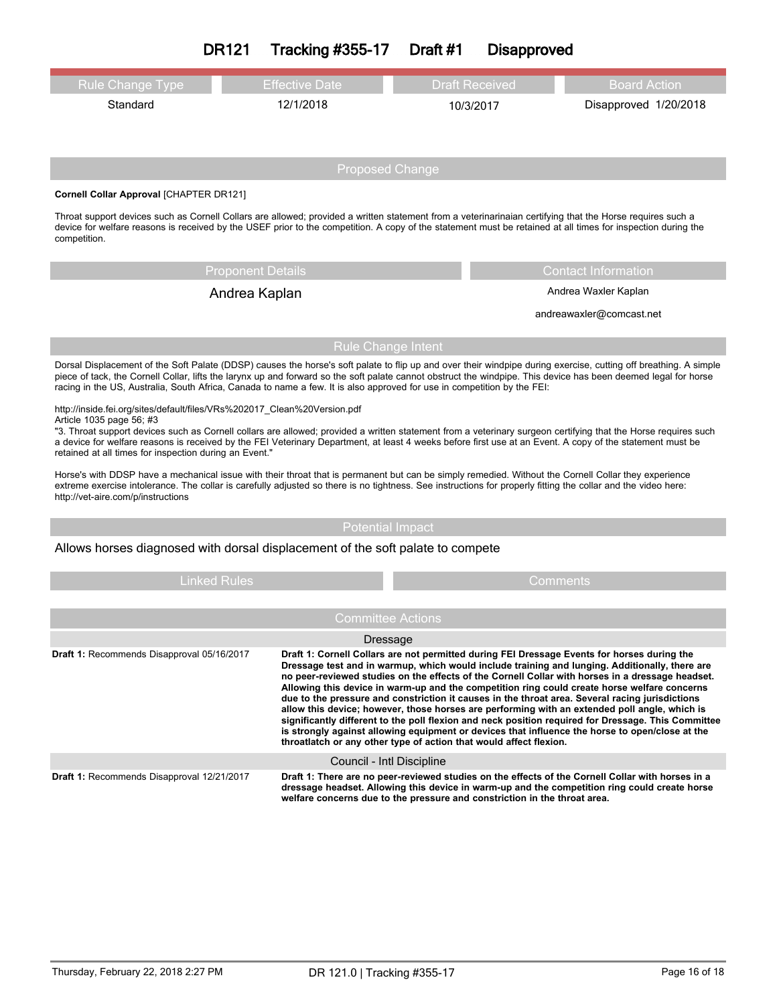|                                                                                                                                                                                                                                                                                                                                                             | <b>DR121</b><br><b>Tracking #355-17</b> | Draft #1               | <b>Disapproved</b>         |                                                                                                                                                                                                                                                                                                                                     |  |
|-------------------------------------------------------------------------------------------------------------------------------------------------------------------------------------------------------------------------------------------------------------------------------------------------------------------------------------------------------------|-----------------------------------------|------------------------|----------------------------|-------------------------------------------------------------------------------------------------------------------------------------------------------------------------------------------------------------------------------------------------------------------------------------------------------------------------------------|--|
| <b>Rule Change Type</b>                                                                                                                                                                                                                                                                                                                                     | <b>Effective Date</b>                   | <b>Draft Received</b>  |                            | <b>Board Action</b>                                                                                                                                                                                                                                                                                                                 |  |
| Standard                                                                                                                                                                                                                                                                                                                                                    | 12/1/2018                               |                        | 10/3/2017                  | Disapproved 1/20/2018                                                                                                                                                                                                                                                                                                               |  |
|                                                                                                                                                                                                                                                                                                                                                             |                                         |                        |                            |                                                                                                                                                                                                                                                                                                                                     |  |
|                                                                                                                                                                                                                                                                                                                                                             |                                         | <b>Proposed Change</b> |                            |                                                                                                                                                                                                                                                                                                                                     |  |
| Cornell Collar Approval [CHAPTER DR121]                                                                                                                                                                                                                                                                                                                     |                                         |                        |                            |                                                                                                                                                                                                                                                                                                                                     |  |
| Throat support devices such as Cornell Collars are allowed; provided a written statement from a veterinarinaian certifying that the Horse requires such a<br>device for welfare reasons is received by the USEF prior to the competition. A copy of the statement must be retained at all times for inspection during the<br>competition.                   |                                         |                        |                            |                                                                                                                                                                                                                                                                                                                                     |  |
| <b>Proponent Details</b>                                                                                                                                                                                                                                                                                                                                    |                                         |                        | <b>Contact Information</b> |                                                                                                                                                                                                                                                                                                                                     |  |
| Andrea Kaplan                                                                                                                                                                                                                                                                                                                                               |                                         |                        | Andrea Waxler Kaplan       |                                                                                                                                                                                                                                                                                                                                     |  |
|                                                                                                                                                                                                                                                                                                                                                             |                                         |                        | andreawaxler@comcast.net   |                                                                                                                                                                                                                                                                                                                                     |  |
|                                                                                                                                                                                                                                                                                                                                                             |                                         | Rule Change Intent     |                            |                                                                                                                                                                                                                                                                                                                                     |  |
| racing in the US, Australia, South Africa, Canada to name a few. It is also approved for use in competition by the FEI:                                                                                                                                                                                                                                     |                                         |                        |                            | Dorsal Displacement of the Soft Palate (DDSP) causes the horse's soft palate to flip up and over their windpipe during exercise, cutting off breathing. A simple<br>piece of tack, the Cornell Collar, lifts the larynx up and forward so the soft palate cannot obstruct the windpipe. This device has been deemed legal for horse |  |
| http://inside.fei.org/sites/default/files/VRs%202017 Clean%20Version.pdf<br>Article 1035 page 56; #3                                                                                                                                                                                                                                                        |                                         |                        |                            |                                                                                                                                                                                                                                                                                                                                     |  |
| a device for welfare reasons is received by the FEI Veterinary Department, at least 4 weeks before first use at an Event. A copy of the statement must be<br>retained at all times for inspection during an Event."                                                                                                                                         |                                         |                        |                            | "3. Throat support devices such as Cornell collars are allowed; provided a written statement from a veterinary surgeon certifying that the Horse requires such                                                                                                                                                                      |  |
| Horse's with DDSP have a mechanical issue with their throat that is permanent but can be simply remedied. Without the Cornell Collar they experience<br>extreme exercise intolerance. The collar is carefully adjusted so there is no tightness. See instructions for properly fitting the collar and the video here:<br>http://vet-aire.com/p/instructions |                                         |                        |                            |                                                                                                                                                                                                                                                                                                                                     |  |

Allows horses diagnosed with dorsal displacement of the soft palate to compete

| <b>Linked Rules</b>                        |                           | Comments                                                                                                                                                                                                                                                                                                                                                                                                                                                                                                                                                                                                                                                                                                                                                                                                                                                                              |  |  |
|--------------------------------------------|---------------------------|---------------------------------------------------------------------------------------------------------------------------------------------------------------------------------------------------------------------------------------------------------------------------------------------------------------------------------------------------------------------------------------------------------------------------------------------------------------------------------------------------------------------------------------------------------------------------------------------------------------------------------------------------------------------------------------------------------------------------------------------------------------------------------------------------------------------------------------------------------------------------------------|--|--|
|                                            |                           |                                                                                                                                                                                                                                                                                                                                                                                                                                                                                                                                                                                                                                                                                                                                                                                                                                                                                       |  |  |
|                                            | <b>Committee Actions</b>  |                                                                                                                                                                                                                                                                                                                                                                                                                                                                                                                                                                                                                                                                                                                                                                                                                                                                                       |  |  |
|                                            | Dressage                  |                                                                                                                                                                                                                                                                                                                                                                                                                                                                                                                                                                                                                                                                                                                                                                                                                                                                                       |  |  |
| Draft 1: Recommends Disapproval 05/16/2017 |                           | Draft 1: Cornell Collars are not permitted during FEI Dressage Events for horses during the<br>Dressage test and in warmup, which would include training and lunging. Additionally, there are<br>no peer-reviewed studies on the effects of the Cornell Collar with horses in a dressage headset.<br>Allowing this device in warm-up and the competition ring could create horse welfare concerns<br>due to the pressure and constriction it causes in the throat area. Several racing jurisdictions<br>allow this device; however, those horses are performing with an extended poll angle, which is<br>significantly different to the poll flexion and neck position required for Dressage. This Committee<br>is strongly against allowing equipment or devices that influence the horse to open/close at the<br>throatlatch or any other type of action that would affect flexion. |  |  |
|                                            | Council - Intl Discipline |                                                                                                                                                                                                                                                                                                                                                                                                                                                                                                                                                                                                                                                                                                                                                                                                                                                                                       |  |  |
| Draft 1: Recommends Disapproval 12/21/2017 |                           | Draft 1: There are no peer-reviewed studies on the effects of the Cornell Collar with horses in a<br>dressage headset. Allowing this device in warm-up and the competition ring could create horse<br>welfare concerns due to the pressure and constriction in the throat area.                                                                                                                                                                                                                                                                                                                                                                                                                                                                                                                                                                                                       |  |  |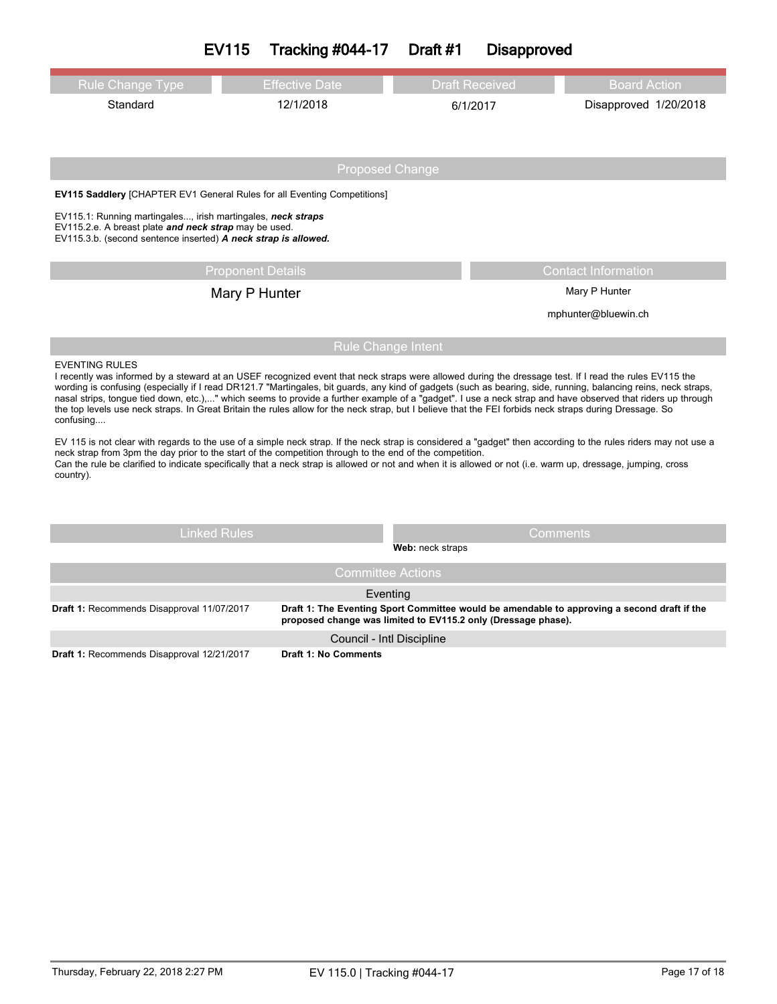|                                                                                                                                                                                                                                                                                                                                                                                                                                                                                                                                                                                                                                                                                           | <b>EV115</b>             | <b>Tracking #044-17</b>                                       | Draft #1         | <b>Disapproved</b>    |                                                                                             |
|-------------------------------------------------------------------------------------------------------------------------------------------------------------------------------------------------------------------------------------------------------------------------------------------------------------------------------------------------------------------------------------------------------------------------------------------------------------------------------------------------------------------------------------------------------------------------------------------------------------------------------------------------------------------------------------------|--------------------------|---------------------------------------------------------------|------------------|-----------------------|---------------------------------------------------------------------------------------------|
| <b>Rule Change Type</b>                                                                                                                                                                                                                                                                                                                                                                                                                                                                                                                                                                                                                                                                   |                          | <b>Effective Date</b>                                         |                  | <b>Draft Received</b> | <b>Board Action</b>                                                                         |
| Standard                                                                                                                                                                                                                                                                                                                                                                                                                                                                                                                                                                                                                                                                                  |                          | 12/1/2018                                                     |                  | 6/1/2017              | Disapproved 1/20/2018                                                                       |
|                                                                                                                                                                                                                                                                                                                                                                                                                                                                                                                                                                                                                                                                                           |                          |                                                               |                  |                       |                                                                                             |
|                                                                                                                                                                                                                                                                                                                                                                                                                                                                                                                                                                                                                                                                                           |                          | <b>Proposed Change</b>                                        |                  |                       |                                                                                             |
| <b>EV115 Saddlery [CHAPTER EV1 General Rules for all Eventing Competitions]</b>                                                                                                                                                                                                                                                                                                                                                                                                                                                                                                                                                                                                           |                          |                                                               |                  |                       |                                                                                             |
| EV115.1: Running martingales, irish martingales, neck straps<br>EV115.2.e. A breast plate and neck strap may be used.<br>EV115.3.b. (second sentence inserted) A neck strap is allowed.                                                                                                                                                                                                                                                                                                                                                                                                                                                                                                   |                          |                                                               |                  |                       |                                                                                             |
|                                                                                                                                                                                                                                                                                                                                                                                                                                                                                                                                                                                                                                                                                           | <b>Proponent Details</b> |                                                               |                  |                       | <b>Contact Information</b>                                                                  |
|                                                                                                                                                                                                                                                                                                                                                                                                                                                                                                                                                                                                                                                                                           | Mary P Hunter            |                                                               |                  |                       | Mary P Hunter                                                                               |
|                                                                                                                                                                                                                                                                                                                                                                                                                                                                                                                                                                                                                                                                                           |                          |                                                               |                  |                       | mphunter@bluewin.ch                                                                         |
|                                                                                                                                                                                                                                                                                                                                                                                                                                                                                                                                                                                                                                                                                           |                          | <b>Rule Change Intent</b>                                     |                  |                       |                                                                                             |
| <b>EVENTING RULES</b><br>I recently was informed by a steward at an USEF recognized event that neck straps were allowed during the dressage test. If I read the rules EV115 the<br>wording is confusing (especially if I read DR121.7 "Martingales, bit guards, any kind of gadgets (such as bearing, side, running, balancing reins, neck straps,<br>nasal strips, tongue tied down, etc.)," which seems to provide a further example of a "gadget". I use a neck strap and have observed that riders up through<br>the top levels use neck straps. In Great Britain the rules allow for the neck strap, but I believe that the FEI forbids neck straps during Dressage. So<br>confusing |                          |                                                               |                  |                       |                                                                                             |
| EV 115 is not clear with regards to the use of a simple neck strap. If the neck strap is considered a "gadget" then according to the rules riders may not use a<br>neck strap from 3pm the day prior to the start of the competition through to the end of the competition.<br>Can the rule be clarified to indicate specifically that a neck strap is allowed or not and when it is allowed or not (i.e. warm up, dressage, jumping, cross<br>country).                                                                                                                                                                                                                                  |                          |                                                               |                  |                       |                                                                                             |
|                                                                                                                                                                                                                                                                                                                                                                                                                                                                                                                                                                                                                                                                                           |                          |                                                               |                  |                       |                                                                                             |
|                                                                                                                                                                                                                                                                                                                                                                                                                                                                                                                                                                                                                                                                                           | <b>Linked Rules</b>      |                                                               | Web: neck straps | <b>Comments</b>       |                                                                                             |
|                                                                                                                                                                                                                                                                                                                                                                                                                                                                                                                                                                                                                                                                                           |                          | <b>Committee Actions</b>                                      |                  |                       |                                                                                             |
|                                                                                                                                                                                                                                                                                                                                                                                                                                                                                                                                                                                                                                                                                           |                          | Eventing                                                      |                  |                       |                                                                                             |
| Draft 1: Recommends Disapproval 11/07/2017                                                                                                                                                                                                                                                                                                                                                                                                                                                                                                                                                                                                                                                |                          | proposed change was limited to EV115.2 only (Dressage phase). |                  |                       | Draft 1: The Eventing Sport Committee would be amendable to approving a second draft if the |
|                                                                                                                                                                                                                                                                                                                                                                                                                                                                                                                                                                                                                                                                                           |                          | Council - Intl Discipline                                     |                  |                       |                                                                                             |

**Draft 1:** Recommends Disapproval 12/21/2017 **Draft 1: No Comments**